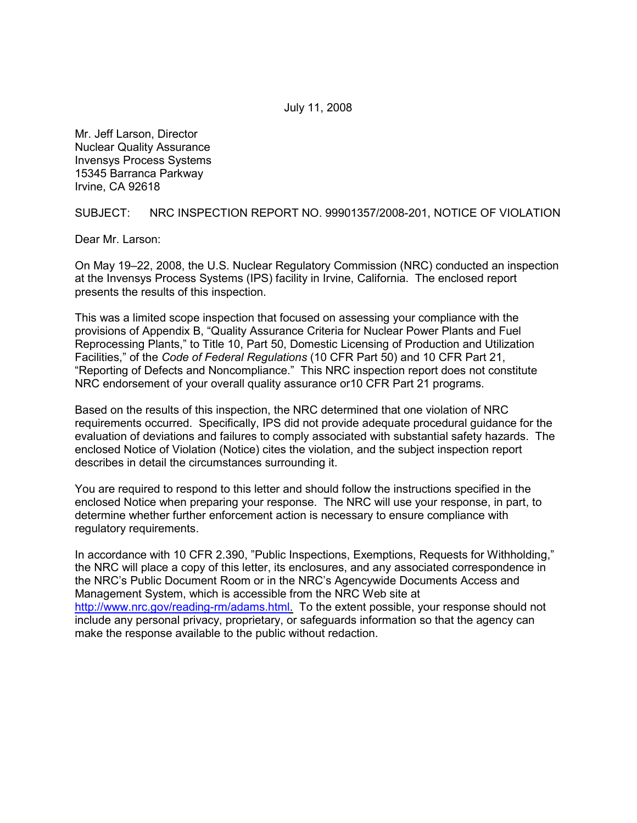July 11, 2008

Mr. Jeff Larson, Director Nuclear Quality Assurance Invensys Process Systems 15345 Barranca Parkway Irvine, CA 92618

SUBJECT: NRC INSPECTION REPORT NO. 99901357/2008-201, NOTICE OF VIOLATION

Dear Mr. Larson:

On May 19–22, 2008, the U.S. Nuclear Regulatory Commission (NRC) conducted an inspection at the Invensys Process Systems (IPS) facility in Irvine, California. The enclosed report presents the results of this inspection.

This was a limited scope inspection that focused on assessing your compliance with the provisions of Appendix B, "Quality Assurance Criteria for Nuclear Power Plants and Fuel Reprocessing Plants," to Title 10, Part 50, Domestic Licensing of Production and Utilization Facilities," of the *Code of Federal Regulations* (10 CFR Part 50) and 10 CFR Part 21, "Reporting of Defects and Noncompliance." This NRC inspection report does not constitute NRC endorsement of your overall quality assurance or10 CFR Part 21 programs.

Based on the results of this inspection, the NRC determined that one violation of NRC requirements occurred. Specifically, IPS did not provide adequate procedural guidance for the evaluation of deviations and failures to comply associated with substantial safety hazards. The enclosed Notice of Violation (Notice) cites the violation, and the subject inspection report describes in detail the circumstances surrounding it.

You are required to respond to this letter and should follow the instructions specified in the enclosed Notice when preparing your response. The NRC will use your response, in part, to determine whether further enforcement action is necessary to ensure compliance with regulatory requirements.

In accordance with 10 CFR 2.390, "Public Inspections, Exemptions, Requests for Withholding," the NRC will place a copy of this letter, its enclosures, and any associated correspondence in the NRC's Public Document Room or in the NRC's Agencywide Documents Access and Management System, which is accessible from the NRC Web site at http://www.nrc.gov/reading-rm/adams.html. To the extent possible, your response should not include any personal privacy, proprietary, or safeguards information so that the agency can make the response available to the public without redaction.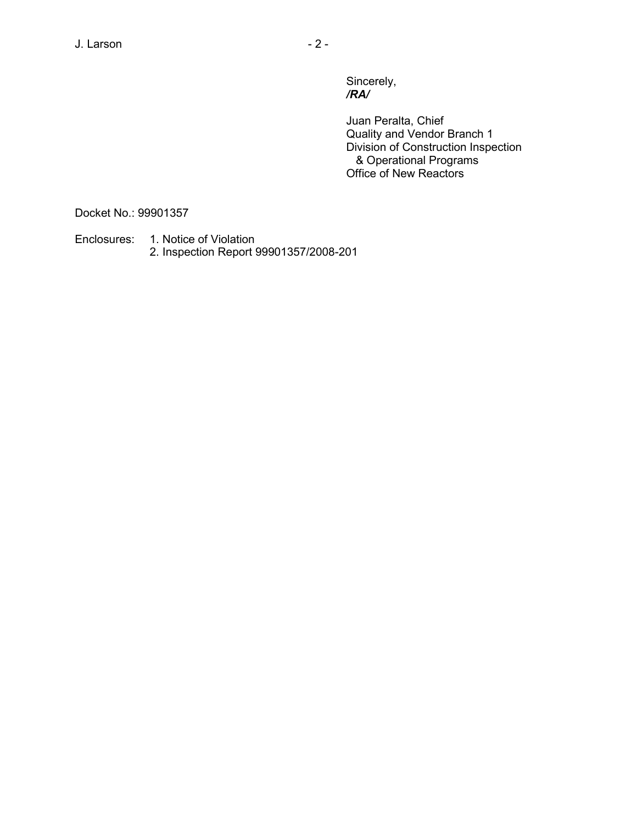Sincerely, */RA/* 

> Juan Peralta, Chief Quality and Vendor Branch 1 Division of Construction Inspection & Operational Programs Office of New Reactors

Docket No.: 99901357

Enclosures: 1. Notice of Violation 2. Inspection Report 99901357/2008-201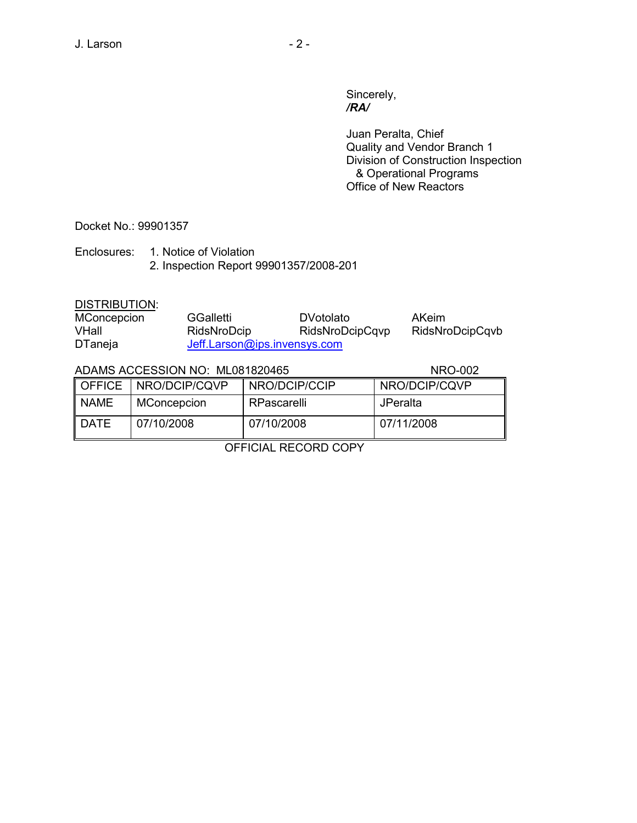Sincerely,<br>/**RA**/ */RA/* 

> Juan Peralta, Chief Quality and Vendor Branch 1 Division of Construction Inspection & Operational Programs Office of New Reactors

Docket No.: 99901357

Enclosures: 1. Notice of Violation 2. Inspection Report 99901357/2008-201

## DISTRIBUTION:

| MConcepcion    | <b>GGalletti</b>             | <b>DVotolato</b> | <b>AKeim</b>    |
|----------------|------------------------------|------------------|-----------------|
| VHall          | RidsNroDcip                  | RidsNroDcipCqvp  | RidsNroDcipCqvb |
| <b>DTaneja</b> | Jeff.Larson@ips.invensys.com |                  |                 |

## ADAMS ACCESSION NO: ML081820465 NRO-002

|          | OFFICE   NRO/DCIP/CQVP | NRO/DCIP/CCIP | NRO/DCIP/CQVP   |
|----------|------------------------|---------------|-----------------|
| II NAME  | MConcepcion            | RPascarelli   | <b>JPeralta</b> |
| ll DATE. | 07/10/2008             | 07/10/2008    | 07/11/2008      |

OFFICIAL RECORD COPY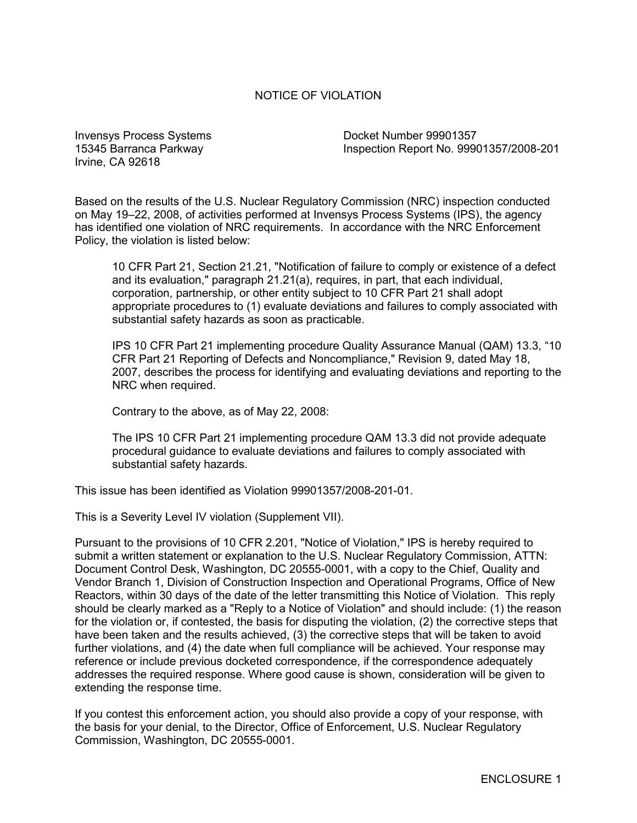### NOTICE OF VIOLATION

Invensys Process Systems Docket Number 99901357 Irvine, CA 92618

15345 Barranca Parkway Inspection Report No. 99901357/2008-201

Based on the results of the U.S. Nuclear Regulatory Commission (NRC) inspection conducted on May 19–22, 2008, of activities performed at Invensys Process Systems (IPS), the agency has identified one violation of NRC requirements. In accordance with the NRC Enforcement Policy, the violation is listed below:

10 CFR Part 21, Section 21.21, "Notification of failure to comply or existence of a defect and its evaluation," paragraph 21.21(a), requires, in part, that each individual, corporation, partnership, or other entity subject to 10 CFR Part 21 shall adopt appropriate procedures to (1) evaluate deviations and failures to comply associated with substantial safety hazards as soon as practicable.

IPS 10 CFR Part 21 implementing procedure Quality Assurance Manual (QAM) 13.3, "10 CFR Part 21 Reporting of Defects and Noncompliance," Revision 9, dated May 18, 2007, describes the process for identifying and evaluating deviations and reporting to the NRC when required.

Contrary to the above, as of May 22, 2008:

The IPS 10 CFR Part 21 implementing procedure QAM 13.3 did not provide adequate procedural guidance to evaluate deviations and failures to comply associated with substantial safety hazards.

This issue has been identified as Violation 99901357/2008-201-01.

This is a Severity Level IV violation (Supplement VII).

Pursuant to the provisions of 10 CFR 2.201, "Notice of Violation," IPS is hereby required to submit a written statement or explanation to the U.S. Nuclear Regulatory Commission, ATTN: Document Control Desk, Washington, DC 20555-0001, with a copy to the Chief, Quality and Vendor Branch 1, Division of Construction Inspection and Operational Programs, Office of New Reactors, within 30 days of the date of the letter transmitting this Notice of Violation. This reply should be clearly marked as a "Reply to a Notice of Violation" and should include: (1) the reason for the violation or, if contested, the basis for disputing the violation, (2) the corrective steps that have been taken and the results achieved, (3) the corrective steps that will be taken to avoid further violations, and (4) the date when full compliance will be achieved. Your response may reference or include previous docketed correspondence, if the correspondence adequately addresses the required response. Where good cause is shown, consideration will be given to extending the response time.

If you contest this enforcement action, you should also provide a copy of your response, with the basis for your denial, to the Director, Office of Enforcement, U.S. Nuclear Regulatory Commission, Washington, DC 20555-0001.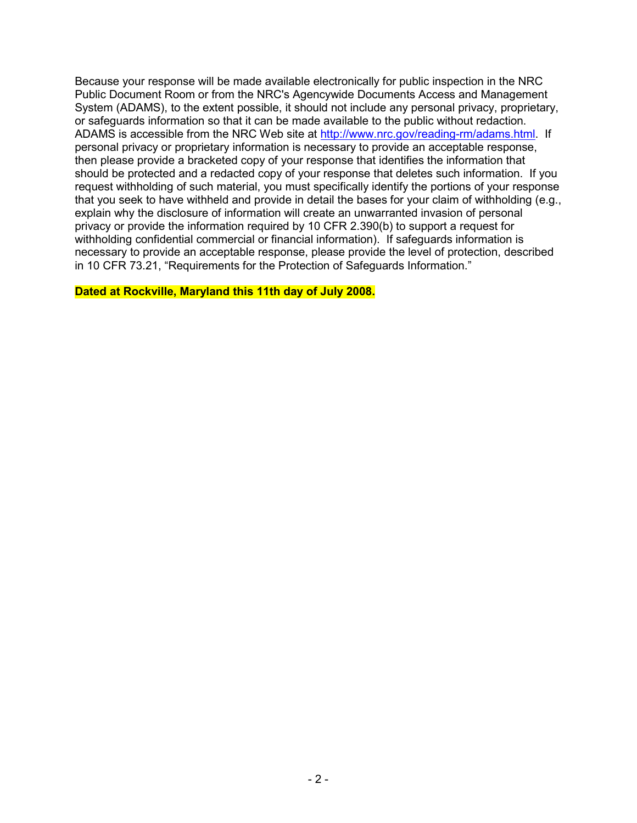Because your response will be made available electronically for public inspection in the NRC Public Document Room or from the NRC's Agencywide Documents Access and Management System (ADAMS), to the extent possible, it should not include any personal privacy, proprietary, or safeguards information so that it can be made available to the public without redaction. ADAMS is accessible from the NRC Web site at http://www.nrc.gov/reading-rm/adams.html. If personal privacy or proprietary information is necessary to provide an acceptable response, then please provide a bracketed copy of your response that identifies the information that should be protected and a redacted copy of your response that deletes such information. If you request withholding of such material, you must specifically identify the portions of your response that you seek to have withheld and provide in detail the bases for your claim of withholding (e.g., explain why the disclosure of information will create an unwarranted invasion of personal privacy or provide the information required by 10 CFR 2.390(b) to support a request for withholding confidential commercial or financial information). If safeguards information is necessary to provide an acceptable response, please provide the level of protection, described in 10 CFR 73.21, "Requirements for the Protection of Safeguards Information."

### **Dated at Rockville, Maryland this 11th day of July 2008.**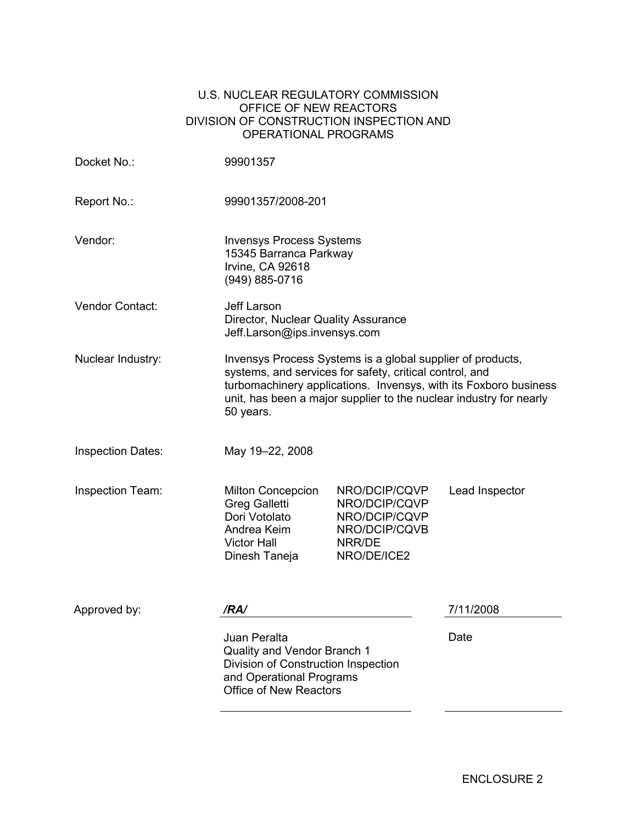### U.S. NUCLEAR REGULATORY COMMISSION OFFICE OF NEW REACTORS DIVISION OF CONSTRUCTION INSPECTION AND OPERATIONAL PROGRAMS

| Docket No.:              | 99901357                                                                                                                                                                                                                                                                     |                                                                                           |                |
|--------------------------|------------------------------------------------------------------------------------------------------------------------------------------------------------------------------------------------------------------------------------------------------------------------------|-------------------------------------------------------------------------------------------|----------------|
| Report No.:              | 99901357/2008-201                                                                                                                                                                                                                                                            |                                                                                           |                |
| Vendor:                  | <b>Invensys Process Systems</b><br>15345 Barranca Parkway<br>Irvine, CA 92618<br>(949) 885-0716                                                                                                                                                                              |                                                                                           |                |
| <b>Vendor Contact:</b>   | Jeff Larson<br>Director, Nuclear Quality Assurance<br>Jeff.Larson@ips.invensys.com                                                                                                                                                                                           |                                                                                           |                |
| Nuclear Industry:        | Invensys Process Systems is a global supplier of products,<br>systems, and services for safety, critical control, and<br>turbomachinery applications. Invensys, with its Foxboro business<br>unit, has been a major supplier to the nuclear industry for nearly<br>50 years. |                                                                                           |                |
| <b>Inspection Dates:</b> | May 19-22, 2008                                                                                                                                                                                                                                                              |                                                                                           |                |
| Inspection Team:         | <b>Milton Concepcion</b><br><b>Greg Galletti</b><br>Dori Votolato<br>Andrea Keim<br><b>Victor Hall</b><br>Dinesh Taneja                                                                                                                                                      | NRO/DCIP/CQVP<br>NRO/DCIP/CQVP<br>NRO/DCIP/CQVP<br>NRO/DCIP/CQVB<br>NRR/DE<br>NRO/DE/ICE2 | Lead Inspector |
| Approved by:             | /RA/                                                                                                                                                                                                                                                                         |                                                                                           | 7/11/2008      |
|                          | Juan Peralta<br>Quality and Vendor Branch 1<br>Division of Construction Inspection<br>and Operational Programs<br><b>Office of New Reactors</b>                                                                                                                              |                                                                                           | Date           |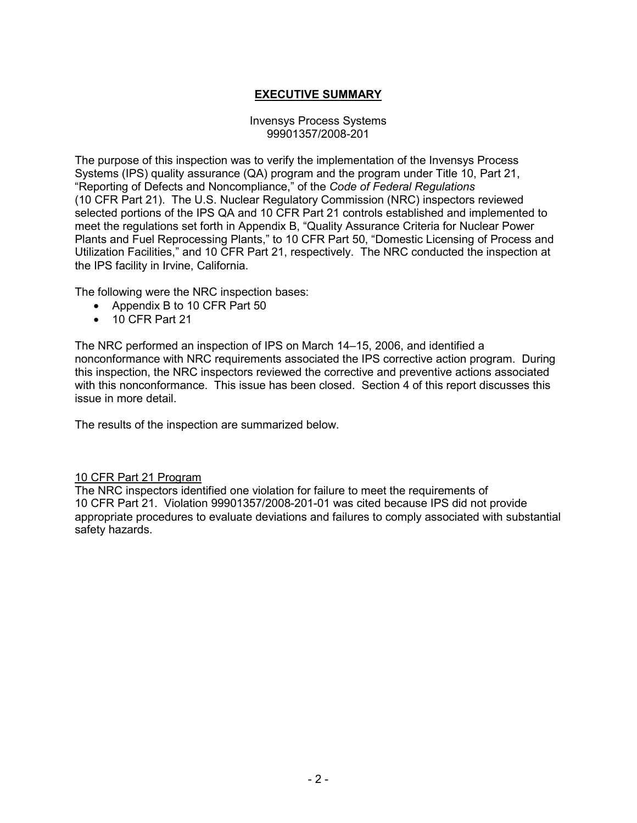# **EXECUTIVE SUMMARY**

#### Invensys Process Systems 99901357/2008-201

The purpose of this inspection was to verify the implementation of the Invensys Process Systems (IPS) quality assurance (QA) program and the program under Title 10, Part 21, "Reporting of Defects and Noncompliance," of the *Code of Federal Regulations* (10 CFR Part 21). The U.S. Nuclear Regulatory Commission (NRC) inspectors reviewed selected portions of the IPS QA and 10 CFR Part 21 controls established and implemented to meet the regulations set forth in Appendix B, "Quality Assurance Criteria for Nuclear Power Plants and Fuel Reprocessing Plants," to 10 CFR Part 50, "Domestic Licensing of Process and Utilization Facilities," and 10 CFR Part 21, respectively. The NRC conducted the inspection at the IPS facility in Irvine, California.

The following were the NRC inspection bases:

- Appendix B to 10 CFR Part 50
- 10 CFR Part 21

The NRC performed an inspection of IPS on March 14–15, 2006, and identified a nonconformance with NRC requirements associated the IPS corrective action program. During this inspection, the NRC inspectors reviewed the corrective and preventive actions associated with this nonconformance. This issue has been closed. Section 4 of this report discusses this issue in more detail.

The results of the inspection are summarized below.

#### 10 CFR Part 21 Program

The NRC inspectors identified one violation for failure to meet the requirements of 10 CFR Part 21. Violation 99901357/2008-201-01 was cited because IPS did not provide appropriate procedures to evaluate deviations and failures to comply associated with substantial safety hazards.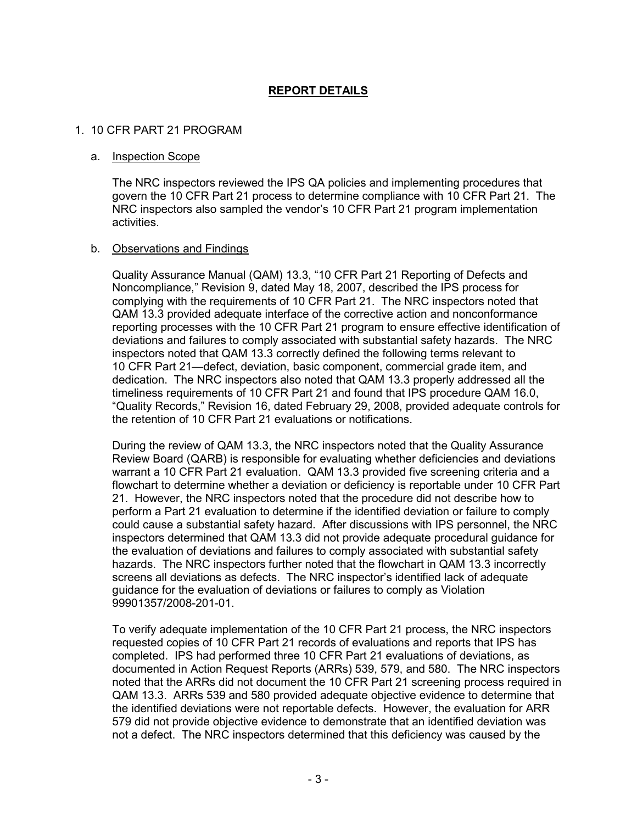# **REPORT DETAILS**

### 1. 10 CFR PART 21 PROGRAM

#### a. Inspection Scope

The NRC inspectors reviewed the IPS QA policies and implementing procedures that govern the 10 CFR Part 21 process to determine compliance with 10 CFR Part 21. The NRC inspectors also sampled the vendor's 10 CFR Part 21 program implementation activities.

#### b. Observations and Findings

Quality Assurance Manual (QAM) 13.3, "10 CFR Part 21 Reporting of Defects and Noncompliance," Revision 9, dated May 18, 2007, described the IPS process for complying with the requirements of 10 CFR Part 21. The NRC inspectors noted that QAM 13.3 provided adequate interface of the corrective action and nonconformance reporting processes with the 10 CFR Part 21 program to ensure effective identification of deviations and failures to comply associated with substantial safety hazards. The NRC inspectors noted that QAM 13.3 correctly defined the following terms relevant to 10 CFR Part 21—defect, deviation, basic component, commercial grade item, and dedication. The NRC inspectors also noted that QAM 13.3 properly addressed all the timeliness requirements of 10 CFR Part 21 and found that IPS procedure QAM 16.0, "Quality Records," Revision 16, dated February 29, 2008, provided adequate controls for the retention of 10 CFR Part 21 evaluations or notifications.

During the review of QAM 13.3, the NRC inspectors noted that the Quality Assurance Review Board (QARB) is responsible for evaluating whether deficiencies and deviations warrant a 10 CFR Part 21 evaluation. QAM 13.3 provided five screening criteria and a flowchart to determine whether a deviation or deficiency is reportable under 10 CFR Part 21. However, the NRC inspectors noted that the procedure did not describe how to perform a Part 21 evaluation to determine if the identified deviation or failure to comply could cause a substantial safety hazard. After discussions with IPS personnel, the NRC inspectors determined that QAM 13.3 did not provide adequate procedural guidance for the evaluation of deviations and failures to comply associated with substantial safety hazards. The NRC inspectors further noted that the flowchart in QAM 13.3 incorrectly screens all deviations as defects. The NRC inspector's identified lack of adequate guidance for the evaluation of deviations or failures to comply as Violation 99901357/2008-201-01.

To verify adequate implementation of the 10 CFR Part 21 process, the NRC inspectors requested copies of 10 CFR Part 21 records of evaluations and reports that IPS has completed. IPS had performed three 10 CFR Part 21 evaluations of deviations, as documented in Action Request Reports (ARRs) 539, 579, and 580. The NRC inspectors noted that the ARRs did not document the 10 CFR Part 21 screening process required in QAM 13.3. ARRs 539 and 580 provided adequate objective evidence to determine that the identified deviations were not reportable defects. However, the evaluation for ARR 579 did not provide objective evidence to demonstrate that an identified deviation was not a defect. The NRC inspectors determined that this deficiency was caused by the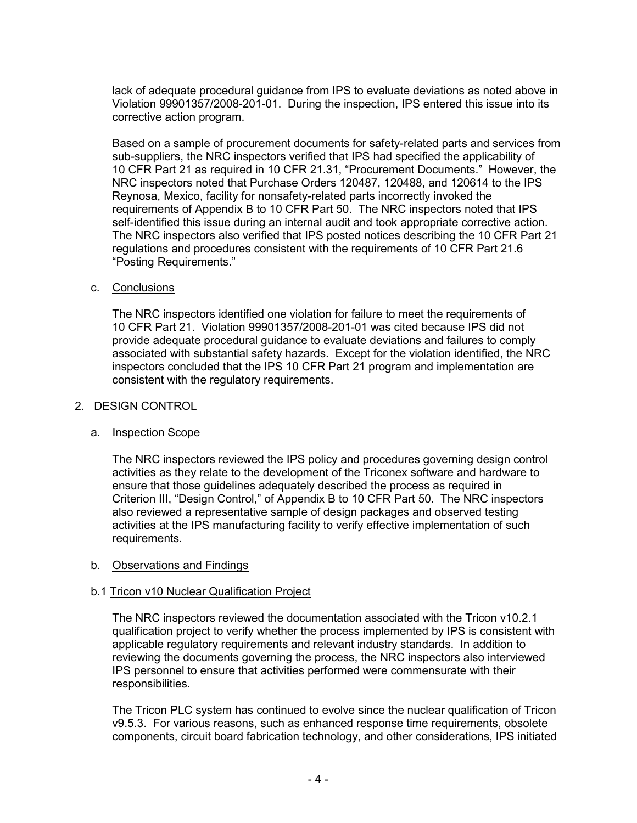lack of adequate procedural guidance from IPS to evaluate deviations as noted above in Violation 99901357/2008-201-01. During the inspection, IPS entered this issue into its corrective action program.

Based on a sample of procurement documents for safety-related parts and services from sub-suppliers, the NRC inspectors verified that IPS had specified the applicability of 10 CFR Part 21 as required in 10 CFR 21.31, "Procurement Documents." However, the NRC inspectors noted that Purchase Orders 120487, 120488, and 120614 to the IPS Reynosa, Mexico, facility for nonsafety-related parts incorrectly invoked the requirements of Appendix B to 10 CFR Part 50. The NRC inspectors noted that IPS self-identified this issue during an internal audit and took appropriate corrective action. The NRC inspectors also verified that IPS posted notices describing the 10 CFR Part 21 regulations and procedures consistent with the requirements of 10 CFR Part 21.6 "Posting Requirements."

### c. Conclusions

The NRC inspectors identified one violation for failure to meet the requirements of 10 CFR Part 21. Violation 99901357/2008-201-01 was cited because IPS did not provide adequate procedural guidance to evaluate deviations and failures to comply associated with substantial safety hazards. Except for the violation identified, the NRC inspectors concluded that the IPS 10 CFR Part 21 program and implementation are consistent with the regulatory requirements.

### 2. DESIGN CONTROL

## a. Inspection Scope

The NRC inspectors reviewed the IPS policy and procedures governing design control activities as they relate to the development of the Triconex software and hardware to ensure that those guidelines adequately described the process as required in Criterion III, "Design Control," of Appendix B to 10 CFR Part 50. The NRC inspectors also reviewed a representative sample of design packages and observed testing activities at the IPS manufacturing facility to verify effective implementation of such requirements.

#### b. Observations and Findings

## b.1 Tricon v10 Nuclear Qualification Project

The NRC inspectors reviewed the documentation associated with the Tricon v10.2.1 qualification project to verify whether the process implemented by IPS is consistent with applicable regulatory requirements and relevant industry standards. In addition to reviewing the documents governing the process, the NRC inspectors also interviewed IPS personnel to ensure that activities performed were commensurate with their responsibilities.

The Tricon PLC system has continued to evolve since the nuclear qualification of Tricon v9.5.3. For various reasons, such as enhanced response time requirements, obsolete components, circuit board fabrication technology, and other considerations, IPS initiated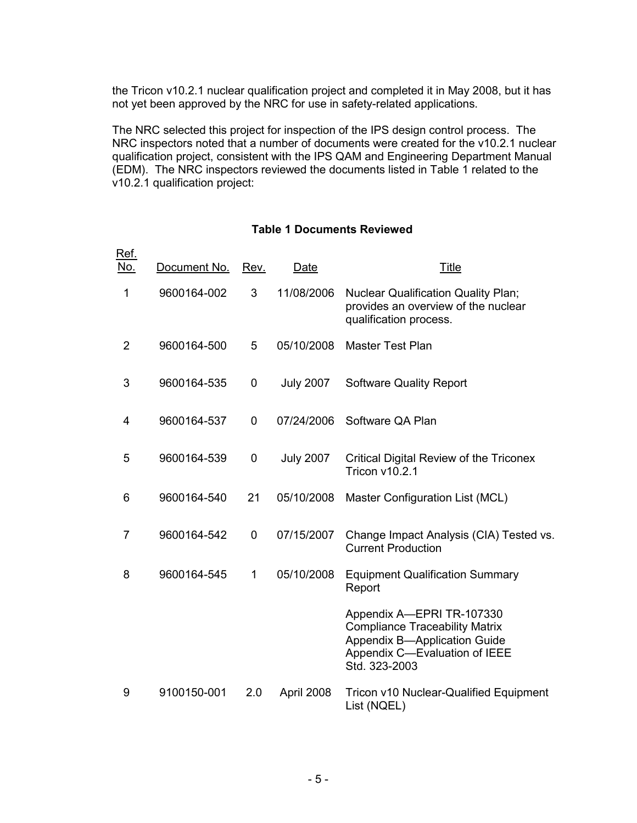the Tricon v10.2.1 nuclear qualification project and completed it in May 2008, but it has not yet been approved by the NRC for use in safety-related applications.

The NRC selected this project for inspection of the IPS design control process. The NRC inspectors noted that a number of documents were created for the v10.2.1 nuclear qualification project, consistent with the IPS QAM and Engineering Department Manual (EDM). The NRC inspectors reviewed the documents listed in Table 1 related to the v10.2.1 qualification project:

## **Table 1 Documents Reviewed**

| Ref.<br><u>No.</u> | Document No. | Rev. | Date             | <b>Title</b>                                                                                                                                                |
|--------------------|--------------|------|------------------|-------------------------------------------------------------------------------------------------------------------------------------------------------------|
| 1                  | 9600164-002  | 3    | 11/08/2006       | <b>Nuclear Qualification Quality Plan;</b><br>provides an overview of the nuclear<br>qualification process.                                                 |
| $\overline{2}$     | 9600164-500  | 5    | 05/10/2008       | <b>Master Test Plan</b>                                                                                                                                     |
| 3                  | 9600164-535  | 0    | <b>July 2007</b> | <b>Software Quality Report</b>                                                                                                                              |
| 4                  | 9600164-537  | 0    | 07/24/2006       | Software QA Plan                                                                                                                                            |
| 5                  | 9600164-539  | 0    | <b>July 2007</b> | <b>Critical Digital Review of the Triconex</b><br>Tricon v10.2.1                                                                                            |
| 6                  | 9600164-540  | 21   | 05/10/2008       | Master Configuration List (MCL)                                                                                                                             |
| 7                  | 9600164-542  | 0    | 07/15/2007       | Change Impact Analysis (CIA) Tested vs.<br><b>Current Production</b>                                                                                        |
| 8                  | 9600164-545  | 1    | 05/10/2008       | <b>Equipment Qualification Summary</b><br>Report                                                                                                            |
|                    |              |      |                  | Appendix A-EPRI TR-107330<br><b>Compliance Traceability Matrix</b><br><b>Appendix B-Application Guide</b><br>Appendix C-Evaluation of IEEE<br>Std. 323-2003 |
| 9                  | 9100150-001  | 2.0  | April 2008       | Tricon v10 Nuclear-Qualified Equipment<br>List (NQEL)                                                                                                       |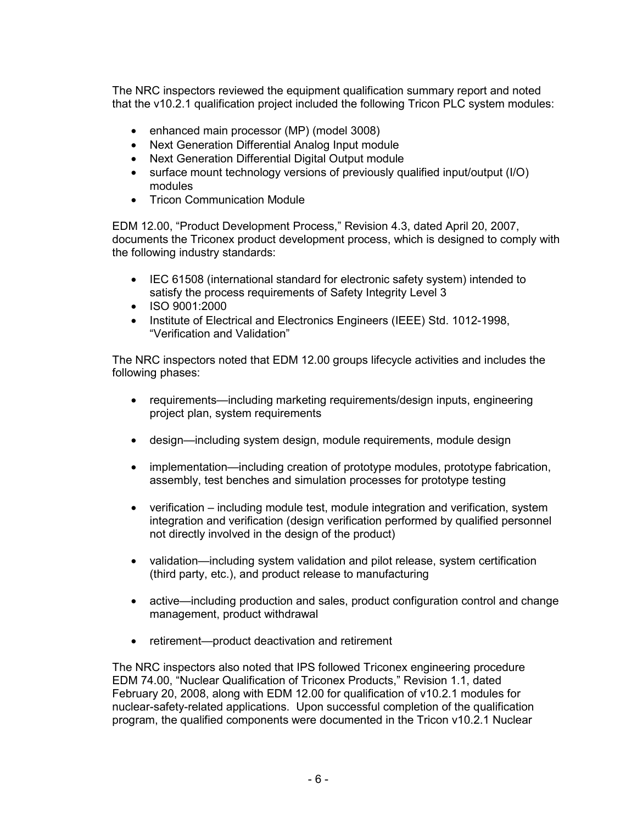The NRC inspectors reviewed the equipment qualification summary report and noted that the v10.2.1 qualification project included the following Tricon PLC system modules:

- enhanced main processor (MP) (model 3008)
- Next Generation Differential Analog Input module
- Next Generation Differential Digital Output module
- surface mount technology versions of previously qualified input/output (I/O) modules
- Tricon Communication Module

EDM 12.00, "Product Development Process," Revision 4.3, dated April 20, 2007, documents the Triconex product development process, which is designed to comply with the following industry standards:

- IEC 61508 (international standard for electronic safety system) intended to satisfy the process requirements of Safety Integrity Level 3
- ISO 9001:2000
- Institute of Electrical and Electronics Engineers (IEEE) Std. 1012-1998, "Verification and Validation"

The NRC inspectors noted that EDM 12.00 groups lifecycle activities and includes the following phases:

- requirements—including marketing requirements/design inputs, engineering project plan, system requirements
- design—including system design, module requirements, module design
- implementation—including creation of prototype modules, prototype fabrication, assembly, test benches and simulation processes for prototype testing
- verification including module test, module integration and verification, system integration and verification (design verification performed by qualified personnel not directly involved in the design of the product)
- validation—including system validation and pilot release, system certification (third party, etc.), and product release to manufacturing
- active—including production and sales, product configuration control and change management, product withdrawal
- retirement—product deactivation and retirement

The NRC inspectors also noted that IPS followed Triconex engineering procedure EDM 74.00, "Nuclear Qualification of Triconex Products," Revision 1.1, dated February 20, 2008, along with EDM 12.00 for qualification of v10.2.1 modules for nuclear-safety-related applications. Upon successful completion of the qualification program, the qualified components were documented in the Tricon v10.2.1 Nuclear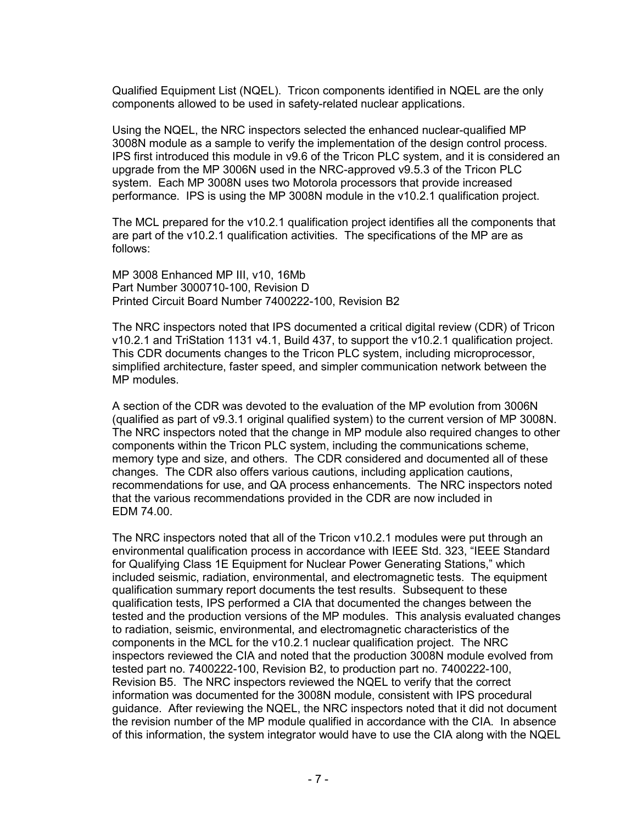Qualified Equipment List (NQEL). Tricon components identified in NQEL are the only components allowed to be used in safety-related nuclear applications.

Using the NQEL, the NRC inspectors selected the enhanced nuclear-qualified MP 3008N module as a sample to verify the implementation of the design control process. IPS first introduced this module in v9.6 of the Tricon PLC system, and it is considered an upgrade from the MP 3006N used in the NRC-approved v9.5.3 of the Tricon PLC system. Each MP 3008N uses two Motorola processors that provide increased performance. IPS is using the MP 3008N module in the v10.2.1 qualification project.

The MCL prepared for the v10.2.1 qualification project identifies all the components that are part of the v10.2.1 qualification activities. The specifications of the MP are as follows:

MP 3008 Enhanced MP III, v10, 16Mb Part Number 3000710-100, Revision D Printed Circuit Board Number 7400222-100, Revision B2

The NRC inspectors noted that IPS documented a critical digital review (CDR) of Tricon v10.2.1 and TriStation 1131 v4.1, Build 437, to support the v10.2.1 qualification project. This CDR documents changes to the Tricon PLC system, including microprocessor, simplified architecture, faster speed, and simpler communication network between the MP modules.

A section of the CDR was devoted to the evaluation of the MP evolution from 3006N (qualified as part of v9.3.1 original qualified system) to the current version of MP 3008N. The NRC inspectors noted that the change in MP module also required changes to other components within the Tricon PLC system, including the communications scheme, memory type and size, and others. The CDR considered and documented all of these changes. The CDR also offers various cautions, including application cautions, recommendations for use, and QA process enhancements. The NRC inspectors noted that the various recommendations provided in the CDR are now included in EDM 74.00.

The NRC inspectors noted that all of the Tricon v10.2.1 modules were put through an environmental qualification process in accordance with IEEE Std. 323, "IEEE Standard for Qualifying Class 1E Equipment for Nuclear Power Generating Stations," which included seismic, radiation, environmental, and electromagnetic tests. The equipment qualification summary report documents the test results. Subsequent to these qualification tests, IPS performed a CIA that documented the changes between the tested and the production versions of the MP modules. This analysis evaluated changes to radiation, seismic, environmental, and electromagnetic characteristics of the components in the MCL for the v10.2.1 nuclear qualification project. The NRC inspectors reviewed the CIA and noted that the production 3008N module evolved from tested part no. 7400222-100, Revision B2, to production part no. 7400222-100, Revision B5. The NRC inspectors reviewed the NQEL to verify that the correct information was documented for the 3008N module, consistent with IPS procedural guidance. After reviewing the NQEL, the NRC inspectors noted that it did not document the revision number of the MP module qualified in accordance with the CIA. In absence of this information, the system integrator would have to use the CIA along with the NQEL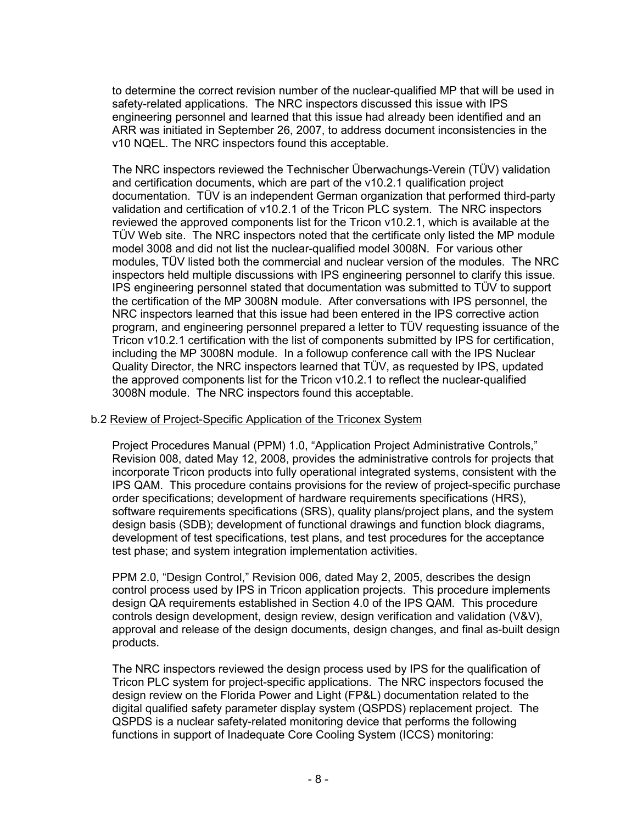to determine the correct revision number of the nuclear-qualified MP that will be used in safety-related applications. The NRC inspectors discussed this issue with IPS engineering personnel and learned that this issue had already been identified and an ARR was initiated in September 26, 2007, to address document inconsistencies in the v10 NQEL. The NRC inspectors found this acceptable.

The NRC inspectors reviewed the Technischer Überwachungs-Verein (TÜV) validation and certification documents, which are part of the v10.2.1 qualification project documentation. TÜV is an independent German organization that performed third-party validation and certification of v10.2.1 of the Tricon PLC system. The NRC inspectors reviewed the approved components list for the Tricon v10.2.1, which is available at the TÜV Web site. The NRC inspectors noted that the certificate only listed the MP module model 3008 and did not list the nuclear-qualified model 3008N. For various other modules, TÜV listed both the commercial and nuclear version of the modules. The NRC inspectors held multiple discussions with IPS engineering personnel to clarify this issue. IPS engineering personnel stated that documentation was submitted to TÜV to support the certification of the MP 3008N module. After conversations with IPS personnel, the NRC inspectors learned that this issue had been entered in the IPS corrective action program, and engineering personnel prepared a letter to TÜV requesting issuance of the Tricon v10.2.1 certification with the list of components submitted by IPS for certification, including the MP 3008N module. In a followup conference call with the IPS Nuclear Quality Director, the NRC inspectors learned that TÜV, as requested by IPS, updated the approved components list for the Tricon v10.2.1 to reflect the nuclear-qualified 3008N module. The NRC inspectors found this acceptable.

## b.2 Review of Project-Specific Application of the Triconex System

Project Procedures Manual (PPM) 1.0, "Application Project Administrative Controls," Revision 008, dated May 12, 2008, provides the administrative controls for projects that incorporate Tricon products into fully operational integrated systems, consistent with the IPS QAM. This procedure contains provisions for the review of project-specific purchase order specifications; development of hardware requirements specifications (HRS), software requirements specifications (SRS), quality plans/project plans, and the system design basis (SDB); development of functional drawings and function block diagrams, development of test specifications, test plans, and test procedures for the acceptance test phase; and system integration implementation activities.

PPM 2.0, "Design Control," Revision 006, dated May 2, 2005, describes the design control process used by IPS in Tricon application projects. This procedure implements design QA requirements established in Section 4.0 of the IPS QAM. This procedure controls design development, design review, design verification and validation (V&V), approval and release of the design documents, design changes, and final as-built design products.

The NRC inspectors reviewed the design process used by IPS for the qualification of Tricon PLC system for project-specific applications. The NRC inspectors focused the design review on the Florida Power and Light (FP&L) documentation related to the digital qualified safety parameter display system (QSPDS) replacement project. The QSPDS is a nuclear safety-related monitoring device that performs the following functions in support of Inadequate Core Cooling System (ICCS) monitoring: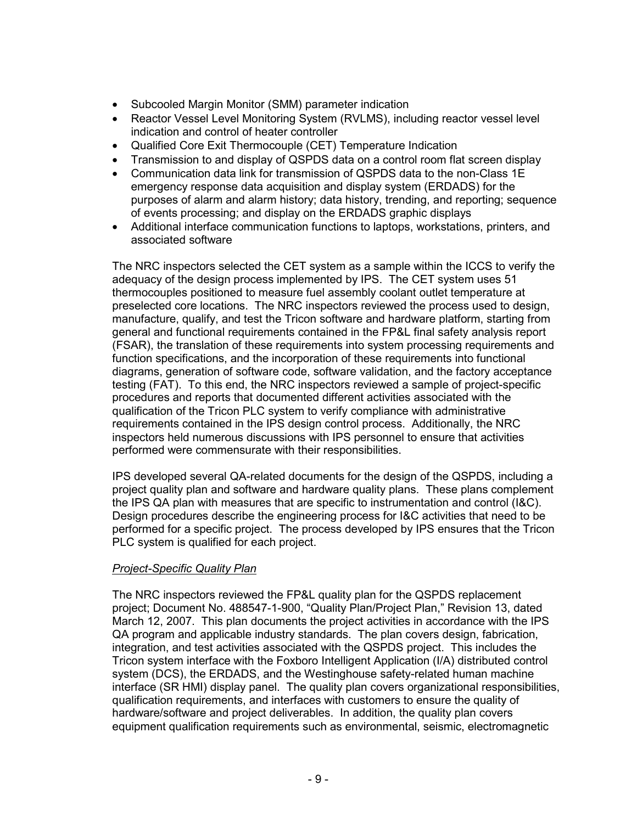- Subcooled Margin Monitor (SMM) parameter indication
- Reactor Vessel Level Monitoring System (RVLMS), including reactor vessel level indication and control of heater controller
- Qualified Core Exit Thermocouple (CET) Temperature Indication
- Transmission to and display of QSPDS data on a control room flat screen display
- Communication data link for transmission of QSPDS data to the non-Class 1E emergency response data acquisition and display system (ERDADS) for the purposes of alarm and alarm history; data history, trending, and reporting; sequence of events processing; and display on the ERDADS graphic displays
- Additional interface communication functions to laptops, workstations, printers, and associated software

The NRC inspectors selected the CET system as a sample within the ICCS to verify the adequacy of the design process implemented by IPS. The CET system uses 51 thermocouples positioned to measure fuel assembly coolant outlet temperature at preselected core locations. The NRC inspectors reviewed the process used to design, manufacture, qualify, and test the Tricon software and hardware platform, starting from general and functional requirements contained in the FP&L final safety analysis report (FSAR), the translation of these requirements into system processing requirements and function specifications, and the incorporation of these requirements into functional diagrams, generation of software code, software validation, and the factory acceptance testing (FAT). To this end, the NRC inspectors reviewed a sample of project-specific procedures and reports that documented different activities associated with the qualification of the Tricon PLC system to verify compliance with administrative requirements contained in the IPS design control process. Additionally, the NRC inspectors held numerous discussions with IPS personnel to ensure that activities performed were commensurate with their responsibilities.

IPS developed several QA-related documents for the design of the QSPDS, including a project quality plan and software and hardware quality plans. These plans complement the IPS QA plan with measures that are specific to instrumentation and control (I&C). Design procedures describe the engineering process for I&C activities that need to be performed for a specific project. The process developed by IPS ensures that the Tricon PLC system is qualified for each project.

# *Project-Specific Quality Plan*

The NRC inspectors reviewed the FP&L quality plan for the QSPDS replacement project; Document No. 488547-1-900, "Quality Plan/Project Plan," Revision 13, dated March 12, 2007. This plan documents the project activities in accordance with the IPS QA program and applicable industry standards. The plan covers design, fabrication, integration, and test activities associated with the QSPDS project. This includes the Tricon system interface with the Foxboro Intelligent Application (I/A) distributed control system (DCS), the ERDADS, and the Westinghouse safety-related human machine interface (SR HMI) display panel. The quality plan covers organizational responsibilities, qualification requirements, and interfaces with customers to ensure the quality of hardware/software and project deliverables. In addition, the quality plan covers equipment qualification requirements such as environmental, seismic, electromagnetic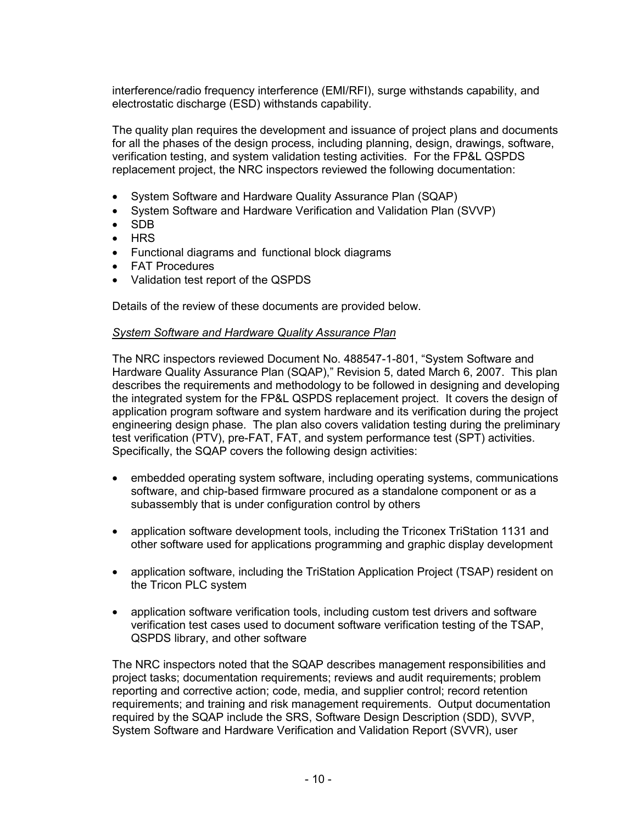interference/radio frequency interference (EMI/RFI), surge withstands capability, and electrostatic discharge (ESD) withstands capability.

The quality plan requires the development and issuance of project plans and documents for all the phases of the design process, including planning, design, drawings, software, verification testing, and system validation testing activities. For the FP&L QSPDS replacement project, the NRC inspectors reviewed the following documentation:

- System Software and Hardware Quality Assurance Plan (SQAP)
- System Software and Hardware Verification and Validation Plan (SVVP)
- SDB
- HRS
- Functional diagrams and functional block diagrams
- FAT Procedures
- Validation test report of the QSPDS

Details of the review of these documents are provided below.

#### *System Software and Hardware Quality Assurance Plan*

The NRC inspectors reviewed Document No. 488547-1-801, "System Software and Hardware Quality Assurance Plan (SQAP)," Revision 5, dated March 6, 2007. This plan describes the requirements and methodology to be followed in designing and developing the integrated system for the FP&L QSPDS replacement project. It covers the design of application program software and system hardware and its verification during the project engineering design phase. The plan also covers validation testing during the preliminary test verification (PTV), pre-FAT, FAT, and system performance test (SPT) activities. Specifically, the SQAP covers the following design activities:

- embedded operating system software, including operating systems, communications software, and chip-based firmware procured as a standalone component or as a subassembly that is under configuration control by others
- application software development tools, including the Triconex TriStation 1131 and other software used for applications programming and graphic display development
- application software, including the TriStation Application Project (TSAP) resident on the Tricon PLC system
- application software verification tools, including custom test drivers and software verification test cases used to document software verification testing of the TSAP, QSPDS library, and other software

The NRC inspectors noted that the SQAP describes management responsibilities and project tasks; documentation requirements; reviews and audit requirements; problem reporting and corrective action; code, media, and supplier control; record retention requirements; and training and risk management requirements. Output documentation required by the SQAP include the SRS, Software Design Description (SDD), SVVP, System Software and Hardware Verification and Validation Report (SVVR), user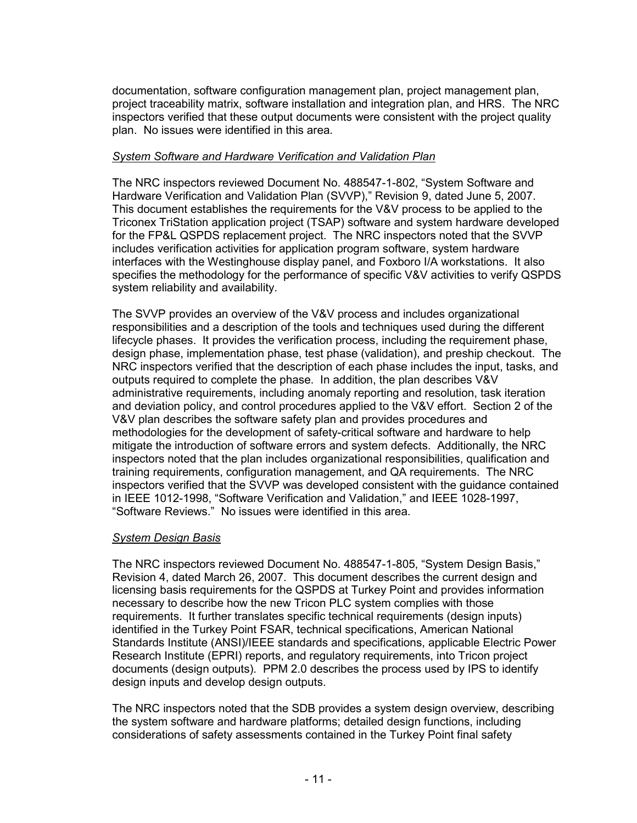documentation, software configuration management plan, project management plan, project traceability matrix, software installation and integration plan, and HRS. The NRC inspectors verified that these output documents were consistent with the project quality plan. No issues were identified in this area.

## *System Software and Hardware Verification and Validation Plan*

The NRC inspectors reviewed Document No. 488547-1-802, "System Software and Hardware Verification and Validation Plan (SVVP)," Revision 9, dated June 5, 2007. This document establishes the requirements for the V&V process to be applied to the Triconex TriStation application project (TSAP) software and system hardware developed for the FP&L QSPDS replacement project. The NRC inspectors noted that the SVVP includes verification activities for application program software, system hardware interfaces with the Westinghouse display panel, and Foxboro I/A workstations. It also specifies the methodology for the performance of specific V&V activities to verify QSPDS system reliability and availability.

The SVVP provides an overview of the V&V process and includes organizational responsibilities and a description of the tools and techniques used during the different lifecycle phases. It provides the verification process, including the requirement phase, design phase, implementation phase, test phase (validation), and preship checkout. The NRC inspectors verified that the description of each phase includes the input, tasks, and outputs required to complete the phase. In addition, the plan describes V&V administrative requirements, including anomaly reporting and resolution, task iteration and deviation policy, and control procedures applied to the V&V effort. Section 2 of the V&V plan describes the software safety plan and provides procedures and methodologies for the development of safety-critical software and hardware to help mitigate the introduction of software errors and system defects. Additionally, the NRC inspectors noted that the plan includes organizational responsibilities, qualification and training requirements, configuration management, and QA requirements. The NRC inspectors verified that the SVVP was developed consistent with the guidance contained in IEEE 1012-1998, "Software Verification and Validation," and IEEE 1028-1997, "Software Reviews." No issues were identified in this area.

## *System Design Basis*

The NRC inspectors reviewed Document No. 488547-1-805, "System Design Basis," Revision 4, dated March 26, 2007. This document describes the current design and licensing basis requirements for the QSPDS at Turkey Point and provides information necessary to describe how the new Tricon PLC system complies with those requirements. It further translates specific technical requirements (design inputs) identified in the Turkey Point FSAR, technical specifications, American National Standards Institute (ANSI)/IEEE standards and specifications, applicable Electric Power Research Institute (EPRI) reports, and regulatory requirements, into Tricon project documents (design outputs). PPM 2.0 describes the process used by IPS to identify design inputs and develop design outputs.

The NRC inspectors noted that the SDB provides a system design overview, describing the system software and hardware platforms; detailed design functions, including considerations of safety assessments contained in the Turkey Point final safety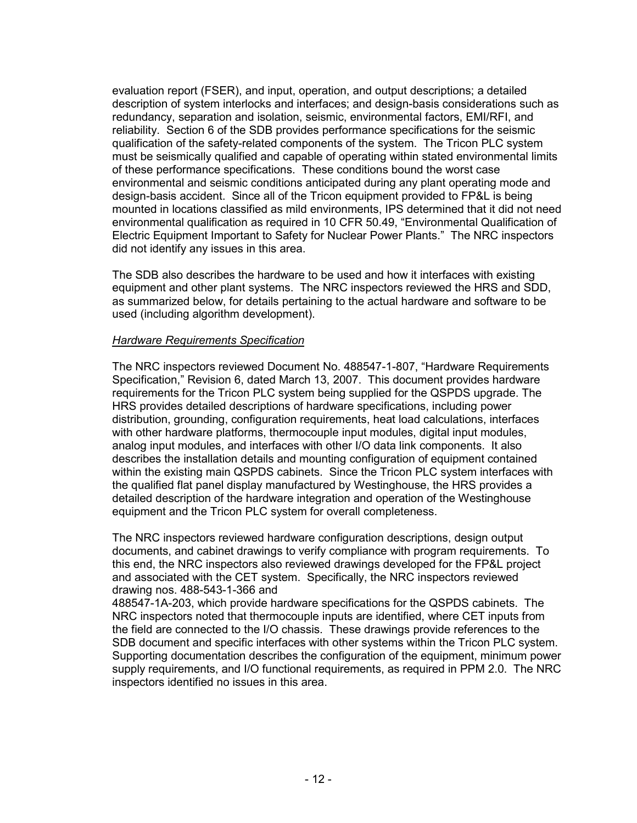evaluation report (FSER), and input, operation, and output descriptions; a detailed description of system interlocks and interfaces; and design-basis considerations such as redundancy, separation and isolation, seismic, environmental factors, EMI/RFI, and reliability. Section 6 of the SDB provides performance specifications for the seismic qualification of the safety-related components of the system. The Tricon PLC system must be seismically qualified and capable of operating within stated environmental limits of these performance specifications. These conditions bound the worst case environmental and seismic conditions anticipated during any plant operating mode and design-basis accident. Since all of the Tricon equipment provided to FP&L is being mounted in locations classified as mild environments, IPS determined that it did not need environmental qualification as required in 10 CFR 50.49, "Environmental Qualification of Electric Equipment Important to Safety for Nuclear Power Plants." The NRC inspectors did not identify any issues in this area.

The SDB also describes the hardware to be used and how it interfaces with existing equipment and other plant systems. The NRC inspectors reviewed the HRS and SDD, as summarized below, for details pertaining to the actual hardware and software to be used (including algorithm development).

### *Hardware Requirements Specification*

The NRC inspectors reviewed Document No. 488547-1-807, "Hardware Requirements Specification," Revision 6, dated March 13, 2007. This document provides hardware requirements for the Tricon PLC system being supplied for the QSPDS upgrade. The HRS provides detailed descriptions of hardware specifications, including power distribution, grounding, configuration requirements, heat load calculations, interfaces with other hardware platforms, thermocouple input modules, digital input modules, analog input modules, and interfaces with other I/O data link components. It also describes the installation details and mounting configuration of equipment contained within the existing main QSPDS cabinets. Since the Tricon PLC system interfaces with the qualified flat panel display manufactured by Westinghouse, the HRS provides a detailed description of the hardware integration and operation of the Westinghouse equipment and the Tricon PLC system for overall completeness.

The NRC inspectors reviewed hardware configuration descriptions, design output documents, and cabinet drawings to verify compliance with program requirements. To this end, the NRC inspectors also reviewed drawings developed for the FP&L project and associated with the CET system. Specifically, the NRC inspectors reviewed drawing nos. 488-543-1-366 and

488547-1A-203, which provide hardware specifications for the QSPDS cabinets. The NRC inspectors noted that thermocouple inputs are identified, where CET inputs from the field are connected to the I/O chassis. These drawings provide references to the SDB document and specific interfaces with other systems within the Tricon PLC system. Supporting documentation describes the configuration of the equipment, minimum power supply requirements, and I/O functional requirements, as required in PPM 2.0. The NRC inspectors identified no issues in this area.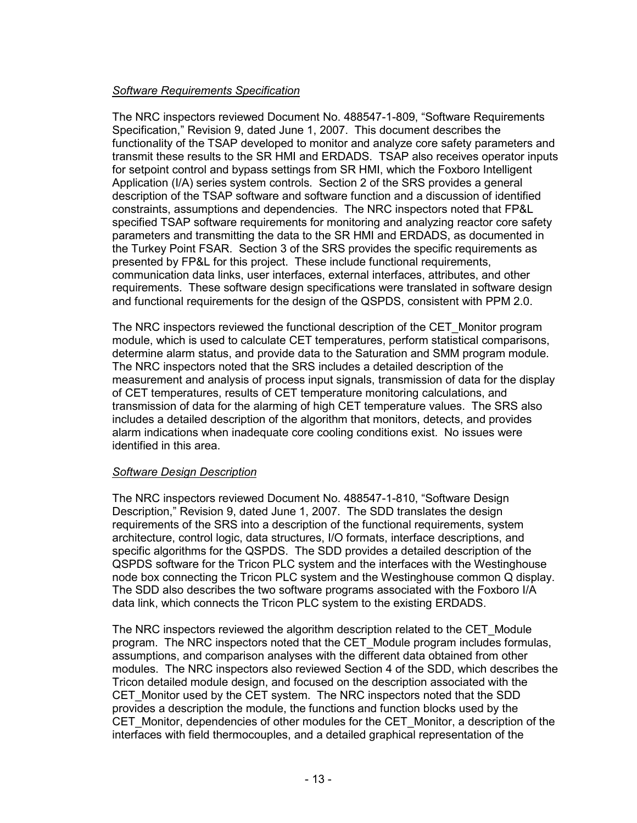## *Software Requirements Specification*

The NRC inspectors reviewed Document No. 488547-1-809, "Software Requirements Specification," Revision 9, dated June 1, 2007. This document describes the functionality of the TSAP developed to monitor and analyze core safety parameters and transmit these results to the SR HMI and ERDADS. TSAP also receives operator inputs for setpoint control and bypass settings from SR HMI, which the Foxboro Intelligent Application (I/A) series system controls. Section 2 of the SRS provides a general description of the TSAP software and software function and a discussion of identified constraints, assumptions and dependencies. The NRC inspectors noted that FP&L specified TSAP software requirements for monitoring and analyzing reactor core safety parameters and transmitting the data to the SR HMI and ERDADS, as documented in the Turkey Point FSAR. Section 3 of the SRS provides the specific requirements as presented by FP&L for this project. These include functional requirements, communication data links, user interfaces, external interfaces, attributes, and other requirements. These software design specifications were translated in software design and functional requirements for the design of the QSPDS, consistent with PPM 2.0.

The NRC inspectors reviewed the functional description of the CET\_Monitor program module, which is used to calculate CET temperatures, perform statistical comparisons, determine alarm status, and provide data to the Saturation and SMM program module. The NRC inspectors noted that the SRS includes a detailed description of the measurement and analysis of process input signals, transmission of data for the display of CET temperatures, results of CET temperature monitoring calculations, and transmission of data for the alarming of high CET temperature values. The SRS also includes a detailed description of the algorithm that monitors, detects, and provides alarm indications when inadequate core cooling conditions exist. No issues were identified in this area.

## *Software Design Description*

The NRC inspectors reviewed Document No. 488547-1-810, "Software Design Description," Revision 9, dated June 1, 2007. The SDD translates the design requirements of the SRS into a description of the functional requirements, system architecture, control logic, data structures, I/O formats, interface descriptions, and specific algorithms for the QSPDS. The SDD provides a detailed description of the QSPDS software for the Tricon PLC system and the interfaces with the Westinghouse node box connecting the Tricon PLC system and the Westinghouse common Q display. The SDD also describes the two software programs associated with the Foxboro I/A data link, which connects the Tricon PLC system to the existing ERDADS.

The NRC inspectors reviewed the algorithm description related to the CET\_Module program. The NRC inspectors noted that the CET\_Module program includes formulas, assumptions, and comparison analyses with the different data obtained from other modules. The NRC inspectors also reviewed Section 4 of the SDD, which describes the Tricon detailed module design, and focused on the description associated with the CET\_Monitor used by the CET system. The NRC inspectors noted that the SDD provides a description the module, the functions and function blocks used by the CET\_Monitor, dependencies of other modules for the CET\_Monitor, a description of the interfaces with field thermocouples, and a detailed graphical representation of the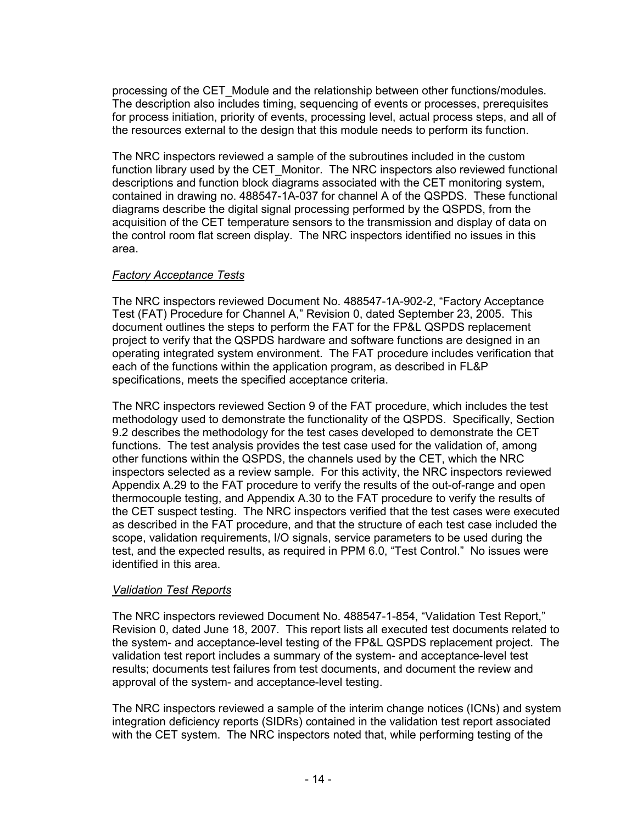processing of the CET\_Module and the relationship between other functions/modules. The description also includes timing, sequencing of events or processes, prerequisites for process initiation, priority of events, processing level, actual process steps, and all of the resources external to the design that this module needs to perform its function.

The NRC inspectors reviewed a sample of the subroutines included in the custom function library used by the CET\_Monitor. The NRC inspectors also reviewed functional descriptions and function block diagrams associated with the CET monitoring system, contained in drawing no. 488547-1A-037 for channel A of the QSPDS. These functional diagrams describe the digital signal processing performed by the QSPDS, from the acquisition of the CET temperature sensors to the transmission and display of data on the control room flat screen display. The NRC inspectors identified no issues in this area.

## *Factory Acceptance Tests*

The NRC inspectors reviewed Document No. 488547-1A-902-2, "Factory Acceptance Test (FAT) Procedure for Channel A," Revision 0, dated September 23, 2005. This document outlines the steps to perform the FAT for the FP&L QSPDS replacement project to verify that the QSPDS hardware and software functions are designed in an operating integrated system environment. The FAT procedure includes verification that each of the functions within the application program, as described in FL&P specifications, meets the specified acceptance criteria.

The NRC inspectors reviewed Section 9 of the FAT procedure, which includes the test methodology used to demonstrate the functionality of the QSPDS. Specifically, Section 9.2 describes the methodology for the test cases developed to demonstrate the CET functions. The test analysis provides the test case used for the validation of, among other functions within the QSPDS, the channels used by the CET, which the NRC inspectors selected as a review sample. For this activity, the NRC inspectors reviewed Appendix A.29 to the FAT procedure to verify the results of the out-of-range and open thermocouple testing, and Appendix A.30 to the FAT procedure to verify the results of the CET suspect testing. The NRC inspectors verified that the test cases were executed as described in the FAT procedure, and that the structure of each test case included the scope, validation requirements, I/O signals, service parameters to be used during the test, and the expected results, as required in PPM 6.0, "Test Control." No issues were identified in this area.

## *Validation Test Reports*

The NRC inspectors reviewed Document No. 488547-1-854, "Validation Test Report," Revision 0, dated June 18, 2007. This report lists all executed test documents related to the system- and acceptance-level testing of the FP&L QSPDS replacement project. The validation test report includes a summary of the system- and acceptance-level test results; documents test failures from test documents, and document the review and approval of the system- and acceptance-level testing.

The NRC inspectors reviewed a sample of the interim change notices (ICNs) and system integration deficiency reports (SIDRs) contained in the validation test report associated with the CET system. The NRC inspectors noted that, while performing testing of the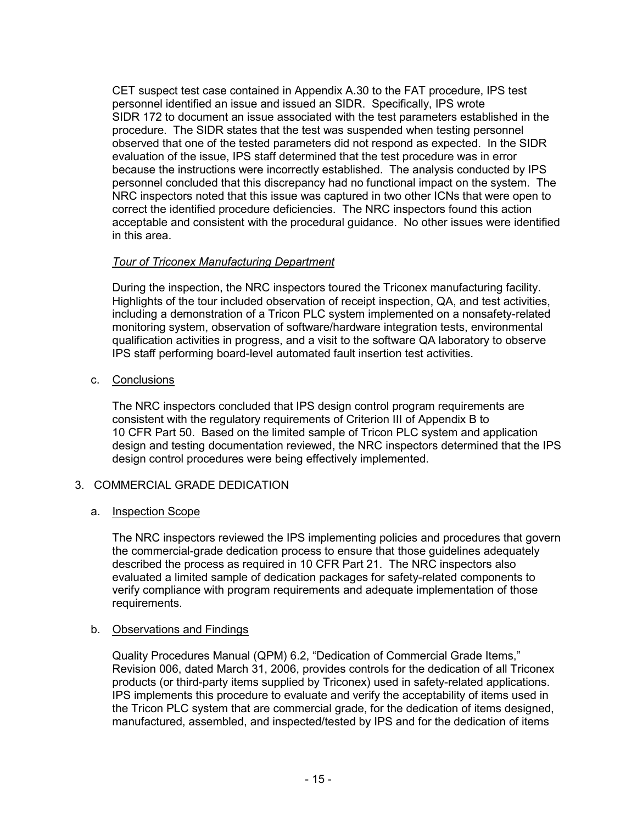CET suspect test case contained in Appendix A.30 to the FAT procedure, IPS test personnel identified an issue and issued an SIDR. Specifically, IPS wrote SIDR 172 to document an issue associated with the test parameters established in the procedure. The SIDR states that the test was suspended when testing personnel observed that one of the tested parameters did not respond as expected. In the SIDR evaluation of the issue, IPS staff determined that the test procedure was in error because the instructions were incorrectly established. The analysis conducted by IPS personnel concluded that this discrepancy had no functional impact on the system. The NRC inspectors noted that this issue was captured in two other ICNs that were open to correct the identified procedure deficiencies. The NRC inspectors found this action acceptable and consistent with the procedural guidance. No other issues were identified in this area.

## *Tour of Triconex Manufacturing Department*

During the inspection, the NRC inspectors toured the Triconex manufacturing facility. Highlights of the tour included observation of receipt inspection, QA, and test activities, including a demonstration of a Tricon PLC system implemented on a nonsafety-related monitoring system, observation of software/hardware integration tests, environmental qualification activities in progress, and a visit to the software QA laboratory to observe IPS staff performing board-level automated fault insertion test activities.

c. Conclusions

The NRC inspectors concluded that IPS design control program requirements are consistent with the regulatory requirements of Criterion III of Appendix B to 10 CFR Part 50. Based on the limited sample of Tricon PLC system and application design and testing documentation reviewed, the NRC inspectors determined that the IPS design control procedures were being effectively implemented.

# 3. COMMERCIAL GRADE DEDICATION

## a. Inspection Scope

The NRC inspectors reviewed the IPS implementing policies and procedures that govern the commercial-grade dedication process to ensure that those guidelines adequately described the process as required in 10 CFR Part 21. The NRC inspectors also evaluated a limited sample of dedication packages for safety-related components to verify compliance with program requirements and adequate implementation of those requirements.

## b. Observations and Findings

Quality Procedures Manual (QPM) 6.2, "Dedication of Commercial Grade Items," Revision 006, dated March 31, 2006, provides controls for the dedication of all Triconex products (or third-party items supplied by Triconex) used in safety-related applications. IPS implements this procedure to evaluate and verify the acceptability of items used in the Tricon PLC system that are commercial grade, for the dedication of items designed, manufactured, assembled, and inspected/tested by IPS and for the dedication of items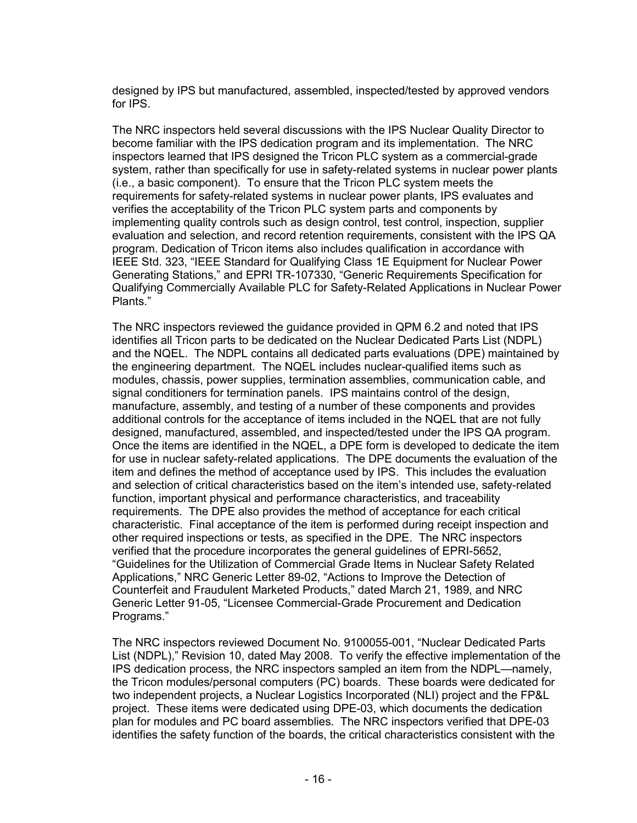designed by IPS but manufactured, assembled, inspected/tested by approved vendors for IPS.

The NRC inspectors held several discussions with the IPS Nuclear Quality Director to become familiar with the IPS dedication program and its implementation. The NRC inspectors learned that IPS designed the Tricon PLC system as a commercial-grade system, rather than specifically for use in safety-related systems in nuclear power plants (i.e., a basic component). To ensure that the Tricon PLC system meets the requirements for safety-related systems in nuclear power plants, IPS evaluates and verifies the acceptability of the Tricon PLC system parts and components by implementing quality controls such as design control, test control, inspection, supplier evaluation and selection, and record retention requirements, consistent with the IPS QA program. Dedication of Tricon items also includes qualification in accordance with IEEE Std. 323, "IEEE Standard for Qualifying Class 1E Equipment for Nuclear Power Generating Stations," and EPRI TR-107330, "Generic Requirements Specification for Qualifying Commercially Available PLC for Safety-Related Applications in Nuclear Power Plants."

The NRC inspectors reviewed the guidance provided in QPM 6.2 and noted that IPS identifies all Tricon parts to be dedicated on the Nuclear Dedicated Parts List (NDPL) and the NQEL. The NDPL contains all dedicated parts evaluations (DPE) maintained by the engineering department. The NQEL includes nuclear-qualified items such as modules, chassis, power supplies, termination assemblies, communication cable, and signal conditioners for termination panels. IPS maintains control of the design, manufacture, assembly, and testing of a number of these components and provides additional controls for the acceptance of items included in the NQEL that are not fully designed, manufactured, assembled, and inspected/tested under the IPS QA program. Once the items are identified in the NQEL, a DPE form is developed to dedicate the item for use in nuclear safety-related applications. The DPE documents the evaluation of the item and defines the method of acceptance used by IPS. This includes the evaluation and selection of critical characteristics based on the item's intended use, safety-related function, important physical and performance characteristics, and traceability requirements. The DPE also provides the method of acceptance for each critical characteristic. Final acceptance of the item is performed during receipt inspection and other required inspections or tests, as specified in the DPE. The NRC inspectors verified that the procedure incorporates the general guidelines of EPRI-5652, "Guidelines for the Utilization of Commercial Grade Items in Nuclear Safety Related Applications," NRC Generic Letter 89-02, "Actions to Improve the Detection of Counterfeit and Fraudulent Marketed Products," dated March 21, 1989, and NRC Generic Letter 91-05, "Licensee Commercial-Grade Procurement and Dedication Programs."

The NRC inspectors reviewed Document No. 9100055-001, "Nuclear Dedicated Parts List (NDPL)," Revision 10, dated May 2008. To verify the effective implementation of the IPS dedication process, the NRC inspectors sampled an item from the NDPL—namely, the Tricon modules/personal computers (PC) boards. These boards were dedicated for two independent projects, a Nuclear Logistics Incorporated (NLI) project and the FP&L project. These items were dedicated using DPE-03, which documents the dedication plan for modules and PC board assemblies. The NRC inspectors verified that DPE-03 identifies the safety function of the boards, the critical characteristics consistent with the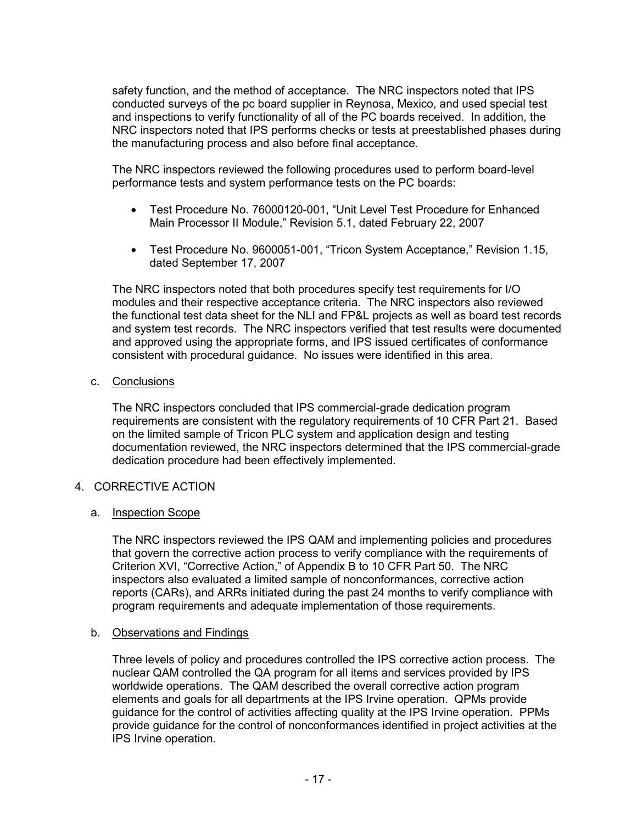safety function, and the method of acceptance. The NRC inspectors noted that IPS conducted surveys of the pc board supplier in Reynosa, Mexico, and used special test and inspections to verify functionality of all of the PC boards received. In addition, the NRC inspectors noted that IPS performs checks or tests at preestablished phases during the manufacturing process and also before final acceptance.

The NRC inspectors reviewed the following procedures used to perform board-level performance tests and system performance tests on the PC boards:

- Test Procedure No. 76000120-001, "Unit Level Test Procedure for Enhanced Main Processor II Module," Revision 5.1, dated February 22, 2007
- Test Procedure No. 9600051-001, "Tricon System Acceptance," Revision 1.15, dated September 17, 2007

The NRC inspectors noted that both procedures specify test requirements for I/O modules and their respective acceptance criteria. The NRC inspectors also reviewed the functional test data sheet for the NLI and FP&L projects as well as board test records and system test records. The NRC inspectors verified that test results were documented and approved using the appropriate forms, and IPS issued certificates of conformance consistent with procedural guidance. No issues were identified in this area.

c. Conclusions

The NRC inspectors concluded that IPS commercial-grade dedication program requirements are consistent with the regulatory requirements of 10 CFR Part 21. Based on the limited sample of Tricon PLC system and application design and testing documentation reviewed, the NRC inspectors determined that the IPS commercial-grade dedication procedure had been effectively implemented.

## 4. CORRECTIVE ACTION

## a. Inspection Scope

The NRC inspectors reviewed the IPS QAM and implementing policies and procedures that govern the corrective action process to verify compliance with the requirements of Criterion XVI, "Corrective Action," of Appendix B to 10 CFR Part 50. The NRC inspectors also evaluated a limited sample of nonconformances, corrective action reports (CARs), and ARRs initiated during the past 24 months to verify compliance with program requirements and adequate implementation of those requirements.

#### b. Observations and Findings

Three levels of policy and procedures controlled the IPS corrective action process. The nuclear QAM controlled the QA program for all items and services provided by IPS worldwide operations. The QAM described the overall corrective action program elements and goals for all departments at the IPS Irvine operation. QPMs provide guidance for the control of activities affecting quality at the IPS Irvine operation. PPMs provide guidance for the control of nonconformances identified in project activities at the IPS Irvine operation.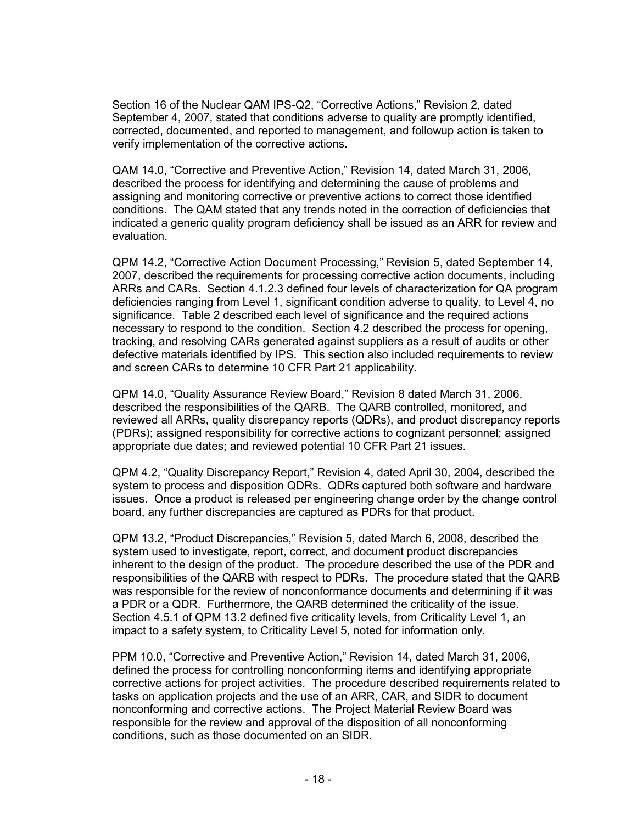Section 16 of the Nuclear QAM IPS-Q2, "Corrective Actions," Revision 2, dated September 4, 2007, stated that conditions adverse to quality are promptly identified, corrected, documented, and reported to management, and followup action is taken to verify implementation of the corrective actions.

QAM 14.0, "Corrective and Preventive Action," Revision 14, dated March 31, 2006, described the process for identifying and determining the cause of problems and assigning and monitoring corrective or preventive actions to correct those identified conditions. The QAM stated that any trends noted in the correction of deficiencies that indicated a generic quality program deficiency shall be issued as an ARR for review and evaluation.

QPM 14.2, "Corrective Action Document Processing," Revision 5, dated September 14, 2007, described the requirements for processing corrective action documents, including ARRs and CARs. Section 4.1.2.3 defined four levels of characterization for QA program deficiencies ranging from Level 1, significant condition adverse to quality, to Level 4, no significance. Table 2 described each level of significance and the required actions necessary to respond to the condition. Section 4.2 described the process for opening, tracking, and resolving CARs generated against suppliers as a result of audits or other defective materials identified by IPS. This section also included requirements to review and screen CARs to determine 10 CFR Part 21 applicability.

QPM 14.0, "Quality Assurance Review Board," Revision 8 dated March 31, 2006, described the responsibilities of the QARB. The QARB controlled, monitored, and reviewed all ARRs, quality discrepancy reports (QDRs), and product discrepancy reports (PDRs); assigned responsibility for corrective actions to cognizant personnel; assigned appropriate due dates; and reviewed potential 10 CFR Part 21 issues.

QPM 4.2, "Quality Discrepancy Report," Revision 4, dated April 30, 2004, described the system to process and disposition QDRs. QDRs captured both software and hardware issues. Once a product is released per engineering change order by the change control board, any further discrepancies are captured as PDRs for that product.

QPM 13.2, "Product Discrepancies," Revision 5, dated March 6, 2008, described the system used to investigate, report, correct, and document product discrepancies inherent to the design of the product. The procedure described the use of the PDR and responsibilities of the QARB with respect to PDRs. The procedure stated that the QARB was responsible for the review of nonconformance documents and determining if it was a PDR or a QDR. Furthermore, the QARB determined the criticality of the issue. Section 4.5.1 of QPM 13.2 defined five criticality levels, from Criticality Level 1, an impact to a safety system, to Criticality Level 5, noted for information only.

PPM 10.0, "Corrective and Preventive Action," Revision 14, dated March 31, 2006, defined the process for controlling nonconforming items and identifying appropriate corrective actions for project activities. The procedure described requirements related to tasks on application projects and the use of an ARR, CAR, and SIDR to document nonconforming and corrective actions. The Project Material Review Board was responsible for the review and approval of the disposition of all nonconforming conditions, such as those documented on an SIDR.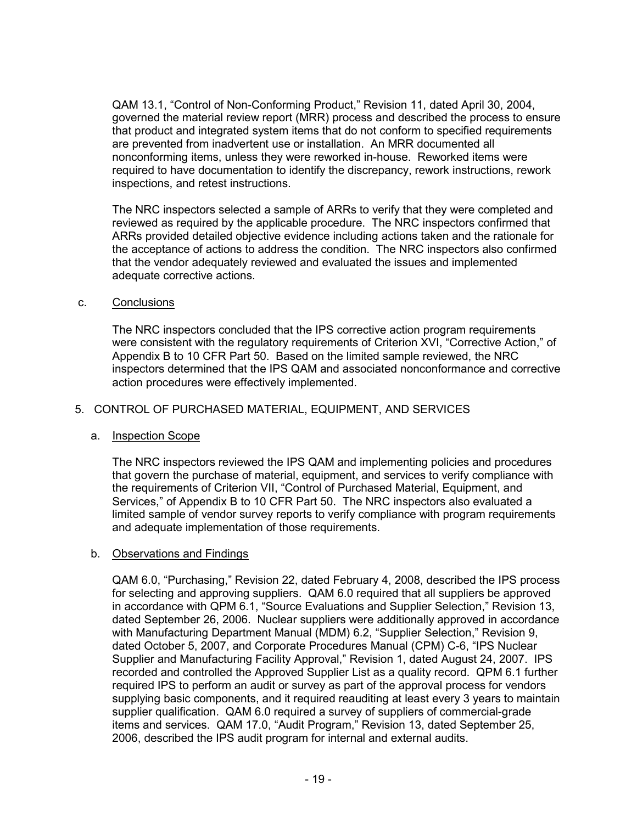QAM 13.1, "Control of Non-Conforming Product," Revision 11, dated April 30, 2004, governed the material review report (MRR) process and described the process to ensure that product and integrated system items that do not conform to specified requirements are prevented from inadvertent use or installation. An MRR documented all nonconforming items, unless they were reworked in-house. Reworked items were required to have documentation to identify the discrepancy, rework instructions, rework inspections, and retest instructions.

The NRC inspectors selected a sample of ARRs to verify that they were completed and reviewed as required by the applicable procedure. The NRC inspectors confirmed that ARRs provided detailed objective evidence including actions taken and the rationale for the acceptance of actions to address the condition. The NRC inspectors also confirmed that the vendor adequately reviewed and evaluated the issues and implemented adequate corrective actions.

## c. Conclusions

The NRC inspectors concluded that the IPS corrective action program requirements were consistent with the regulatory requirements of Criterion XVI, "Corrective Action," of Appendix B to 10 CFR Part 50. Based on the limited sample reviewed, the NRC inspectors determined that the IPS QAM and associated nonconformance and corrective action procedures were effectively implemented.

### 5. CONTROL OF PURCHASED MATERIAL, EQUIPMENT, AND SERVICES

## a. Inspection Scope

The NRC inspectors reviewed the IPS QAM and implementing policies and procedures that govern the purchase of material, equipment, and services to verify compliance with the requirements of Criterion VII, "Control of Purchased Material, Equipment, and Services," of Appendix B to 10 CFR Part 50. The NRC inspectors also evaluated a limited sample of vendor survey reports to verify compliance with program requirements and adequate implementation of those requirements.

## b. Observations and Findings

QAM 6.0, "Purchasing," Revision 22, dated February 4, 2008, described the IPS process for selecting and approving suppliers. QAM 6.0 required that all suppliers be approved in accordance with QPM 6.1, "Source Evaluations and Supplier Selection," Revision 13, dated September 26, 2006. Nuclear suppliers were additionally approved in accordance with Manufacturing Department Manual (MDM) 6.2, "Supplier Selection," Revision 9, dated October 5, 2007, and Corporate Procedures Manual (CPM) C-6, "IPS Nuclear Supplier and Manufacturing Facility Approval," Revision 1, dated August 24, 2007. IPS recorded and controlled the Approved Supplier List as a quality record. QPM 6.1 further required IPS to perform an audit or survey as part of the approval process for vendors supplying basic components, and it required reauditing at least every 3 years to maintain supplier qualification. QAM 6.0 required a survey of suppliers of commercial-grade items and services. QAM 17.0, "Audit Program," Revision 13, dated September 25, 2006, described the IPS audit program for internal and external audits.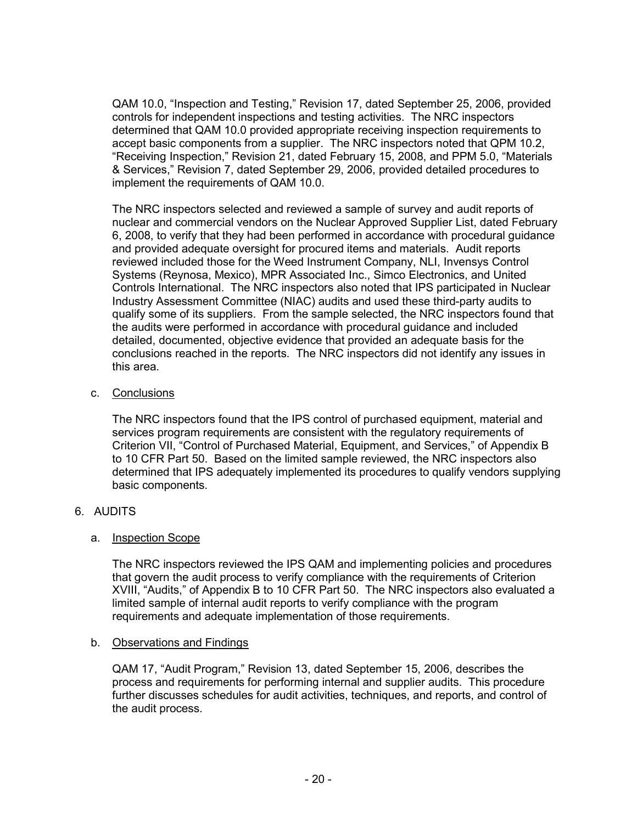QAM 10.0, "Inspection and Testing," Revision 17, dated September 25, 2006, provided controls for independent inspections and testing activities. The NRC inspectors determined that QAM 10.0 provided appropriate receiving inspection requirements to accept basic components from a supplier. The NRC inspectors noted that QPM 10.2, "Receiving Inspection," Revision 21, dated February 15, 2008, and PPM 5.0, "Materials & Services," Revision 7, dated September 29, 2006, provided detailed procedures to implement the requirements of QAM 10.0.

The NRC inspectors selected and reviewed a sample of survey and audit reports of nuclear and commercial vendors on the Nuclear Approved Supplier List, dated February 6, 2008, to verify that they had been performed in accordance with procedural guidance and provided adequate oversight for procured items and materials. Audit reports reviewed included those for the Weed Instrument Company, NLI, Invensys Control Systems (Reynosa, Mexico), MPR Associated Inc., Simco Electronics, and United Controls International. The NRC inspectors also noted that IPS participated in Nuclear Industry Assessment Committee (NIAC) audits and used these third-party audits to qualify some of its suppliers. From the sample selected, the NRC inspectors found that the audits were performed in accordance with procedural guidance and included detailed, documented, objective evidence that provided an adequate basis for the conclusions reached in the reports. The NRC inspectors did not identify any issues in this area.

## c. Conclusions

The NRC inspectors found that the IPS control of purchased equipment, material and services program requirements are consistent with the regulatory requirements of Criterion VII, "Control of Purchased Material, Equipment, and Services," of Appendix B to 10 CFR Part 50. Based on the limited sample reviewed, the NRC inspectors also determined that IPS adequately implemented its procedures to qualify vendors supplying basic components.

# 6. AUDITS

# a. Inspection Scope

The NRC inspectors reviewed the IPS QAM and implementing policies and procedures that govern the audit process to verify compliance with the requirements of Criterion XVIII, "Audits," of Appendix B to 10 CFR Part 50. The NRC inspectors also evaluated a limited sample of internal audit reports to verify compliance with the program requirements and adequate implementation of those requirements.

## b. Observations and Findings

QAM 17, "Audit Program," Revision 13, dated September 15, 2006, describes the process and requirements for performing internal and supplier audits. This procedure further discusses schedules for audit activities, techniques, and reports, and control of the audit process.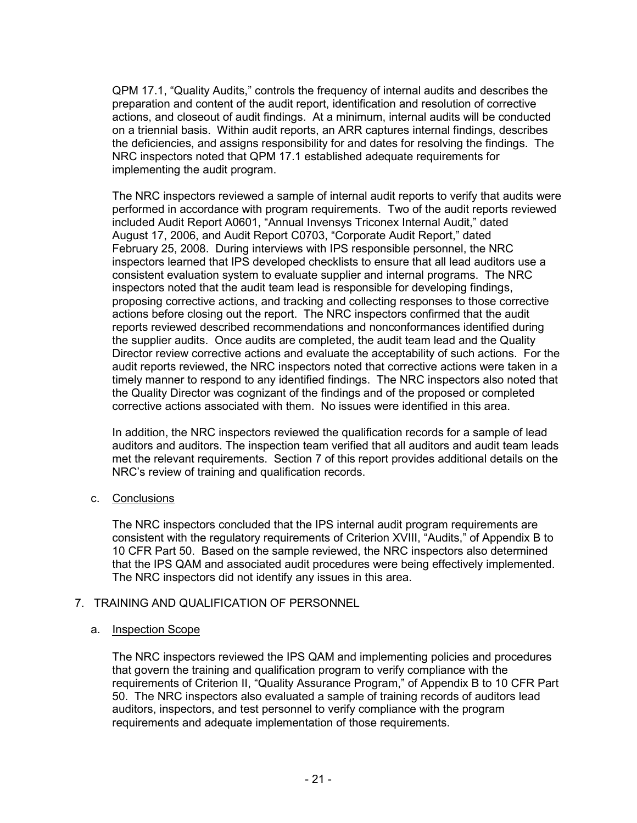QPM 17.1, "Quality Audits," controls the frequency of internal audits and describes the preparation and content of the audit report, identification and resolution of corrective actions, and closeout of audit findings. At a minimum, internal audits will be conducted on a triennial basis. Within audit reports, an ARR captures internal findings, describes the deficiencies, and assigns responsibility for and dates for resolving the findings. The NRC inspectors noted that QPM 17.1 established adequate requirements for implementing the audit program.

The NRC inspectors reviewed a sample of internal audit reports to verify that audits were performed in accordance with program requirements. Two of the audit reports reviewed included Audit Report A0601, "Annual Invensys Triconex Internal Audit," dated August 17, 2006, and Audit Report C0703, "Corporate Audit Report," dated February 25, 2008. During interviews with IPS responsible personnel, the NRC inspectors learned that IPS developed checklists to ensure that all lead auditors use a consistent evaluation system to evaluate supplier and internal programs. The NRC inspectors noted that the audit team lead is responsible for developing findings, proposing corrective actions, and tracking and collecting responses to those corrective actions before closing out the report. The NRC inspectors confirmed that the audit reports reviewed described recommendations and nonconformances identified during the supplier audits. Once audits are completed, the audit team lead and the Quality Director review corrective actions and evaluate the acceptability of such actions. For the audit reports reviewed, the NRC inspectors noted that corrective actions were taken in a timely manner to respond to any identified findings. The NRC inspectors also noted that the Quality Director was cognizant of the findings and of the proposed or completed corrective actions associated with them. No issues were identified in this area.

In addition, the NRC inspectors reviewed the qualification records for a sample of lead auditors and auditors. The inspection team verified that all auditors and audit team leads met the relevant requirements. Section 7 of this report provides additional details on the NRC's review of training and qualification records.

## c. Conclusions

The NRC inspectors concluded that the IPS internal audit program requirements are consistent with the regulatory requirements of Criterion XVIII, "Audits," of Appendix B to 10 CFR Part 50. Based on the sample reviewed, the NRC inspectors also determined that the IPS QAM and associated audit procedures were being effectively implemented. The NRC inspectors did not identify any issues in this area.

## 7. TRAINING AND QUALIFICATION OF PERSONNEL

## a. Inspection Scope

The NRC inspectors reviewed the IPS QAM and implementing policies and procedures that govern the training and qualification program to verify compliance with the requirements of Criterion II, "Quality Assurance Program," of Appendix B to 10 CFR Part 50. The NRC inspectors also evaluated a sample of training records of auditors lead auditors, inspectors, and test personnel to verify compliance with the program requirements and adequate implementation of those requirements.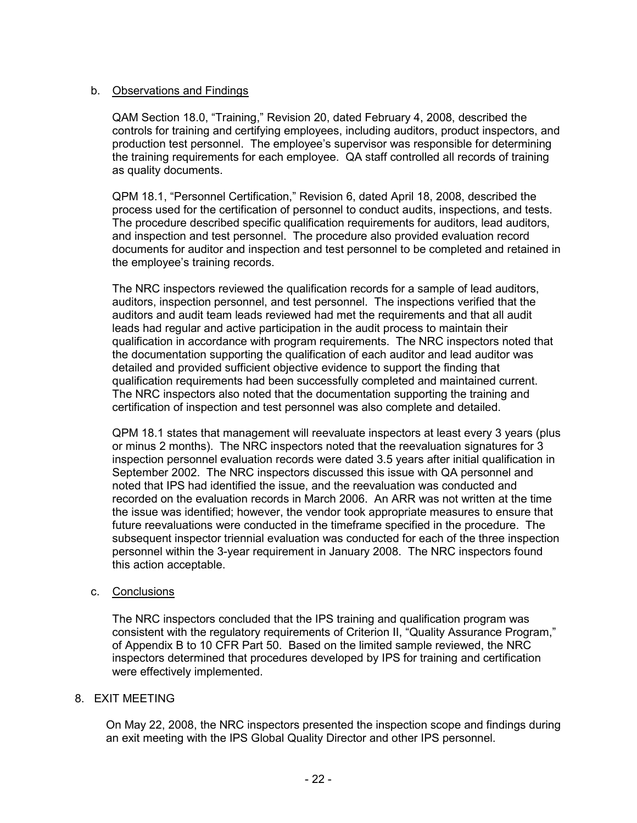## b. Observations and Findings

QAM Section 18.0, "Training," Revision 20, dated February 4, 2008, described the controls for training and certifying employees, including auditors, product inspectors, and production test personnel. The employee's supervisor was responsible for determining the training requirements for each employee. QA staff controlled all records of training as quality documents.

QPM 18.1, "Personnel Certification," Revision 6, dated April 18, 2008, described the process used for the certification of personnel to conduct audits, inspections, and tests. The procedure described specific qualification requirements for auditors, lead auditors, and inspection and test personnel. The procedure also provided evaluation record documents for auditor and inspection and test personnel to be completed and retained in the employee's training records.

The NRC inspectors reviewed the qualification records for a sample of lead auditors, auditors, inspection personnel, and test personnel. The inspections verified that the auditors and audit team leads reviewed had met the requirements and that all audit leads had regular and active participation in the audit process to maintain their qualification in accordance with program requirements. The NRC inspectors noted that the documentation supporting the qualification of each auditor and lead auditor was detailed and provided sufficient objective evidence to support the finding that qualification requirements had been successfully completed and maintained current. The NRC inspectors also noted that the documentation supporting the training and certification of inspection and test personnel was also complete and detailed.

QPM 18.1 states that management will reevaluate inspectors at least every 3 years (plus or minus 2 months). The NRC inspectors noted that the reevaluation signatures for 3 inspection personnel evaluation records were dated 3.5 years after initial qualification in September 2002. The NRC inspectors discussed this issue with QA personnel and noted that IPS had identified the issue, and the reevaluation was conducted and recorded on the evaluation records in March 2006. An ARR was not written at the time the issue was identified; however, the vendor took appropriate measures to ensure that future reevaluations were conducted in the timeframe specified in the procedure. The subsequent inspector triennial evaluation was conducted for each of the three inspection personnel within the 3-year requirement in January 2008. The NRC inspectors found this action acceptable.

## c. Conclusions

The NRC inspectors concluded that the IPS training and qualification program was consistent with the regulatory requirements of Criterion II, "Quality Assurance Program," of Appendix B to 10 CFR Part 50. Based on the limited sample reviewed, the NRC inspectors determined that procedures developed by IPS for training and certification were effectively implemented.

## 8. EXIT MEETING

On May 22, 2008, the NRC inspectors presented the inspection scope and findings during an exit meeting with the IPS Global Quality Director and other IPS personnel.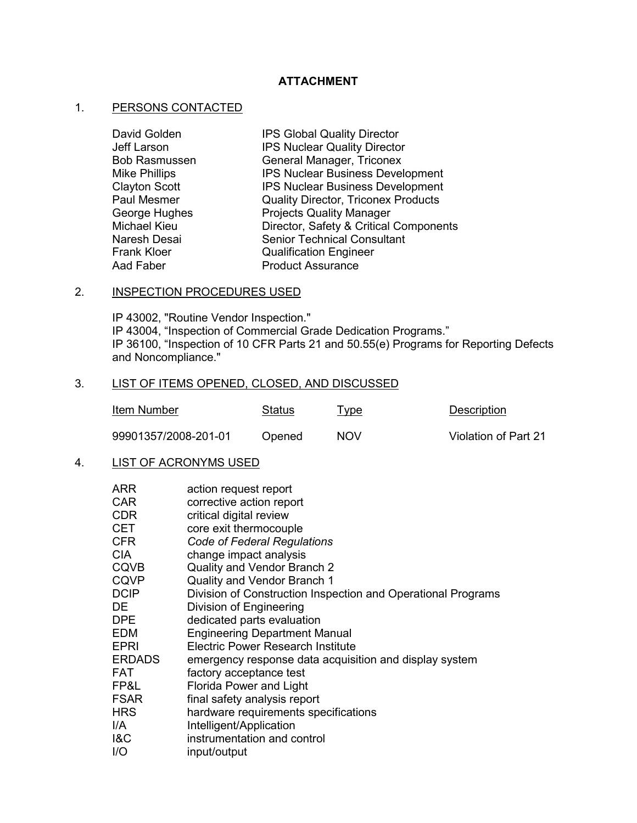## **ATTACHMENT**

# 1. PERSONS CONTACTED

| IPS Global Quality Director                |
|--------------------------------------------|
| <b>IPS Nuclear Quality Director</b>        |
| General Manager, Triconex                  |
| <b>IPS Nuclear Business Development</b>    |
| <b>IPS Nuclear Business Development</b>    |
| <b>Quality Director, Triconex Products</b> |
| <b>Projects Quality Manager</b>            |
| Director, Safety & Critical Components     |
| <b>Senior Technical Consultant</b>         |
| <b>Qualification Engineer</b>              |
| <b>Product Assurance</b>                   |
|                                            |

## 2. INSPECTION PROCEDURES USED

IP 43002, "Routine Vendor Inspection." IP 43004, "Inspection of Commercial Grade Dedication Programs." IP 36100, "Inspection of 10 CFR Parts 21 and 50.55(e) Programs for Reporting Defects and Noncompliance."

# 3. LIST OF ITEMS OPENED, CLOSED, AND DISCUSSED

| Item Number          | Status | <u>i ype</u> | Description          |
|----------------------|--------|--------------|----------------------|
| 99901357/2008-201-01 | Opened | NOV          | Violation of Part 21 |

## 4. LIST OF ACRONYMS USED

| <b>ARR</b><br><b>CAR</b><br><b>CDR</b> | action request report<br>corrective action report<br>critical digital review |
|----------------------------------------|------------------------------------------------------------------------------|
| <b>CET</b>                             | core exit thermocouple                                                       |
| <b>CFR</b>                             | <b>Code of Federal Regulations</b>                                           |
| <b>CIA</b>                             | change impact analysis                                                       |
| <b>CQVB</b>                            | Quality and Vendor Branch 2                                                  |
| <b>CQVP</b>                            | Quality and Vendor Branch 1                                                  |
| <b>DCIP</b>                            | Division of Construction Inspection and Operational Programs                 |
| DE                                     | Division of Engineering                                                      |
| DPE                                    | dedicated parts evaluation                                                   |
| <b>EDM</b>                             | <b>Engineering Department Manual</b>                                         |
| EPRI                                   | <b>Electric Power Research Institute</b>                                     |
| <b>ERDADS</b>                          | emergency response data acquisition and display system                       |
| <b>FAT</b>                             | factory acceptance test                                                      |
| FP&L                                   | <b>Florida Power and Light</b>                                               |
| <b>FSAR</b>                            | final safety analysis report                                                 |
| <b>HRS</b>                             | hardware requirements specifications                                         |
| I/A                                    | Intelligent/Application                                                      |
| 18C                                    | instrumentation and control                                                  |
| 1/O                                    | input/output                                                                 |